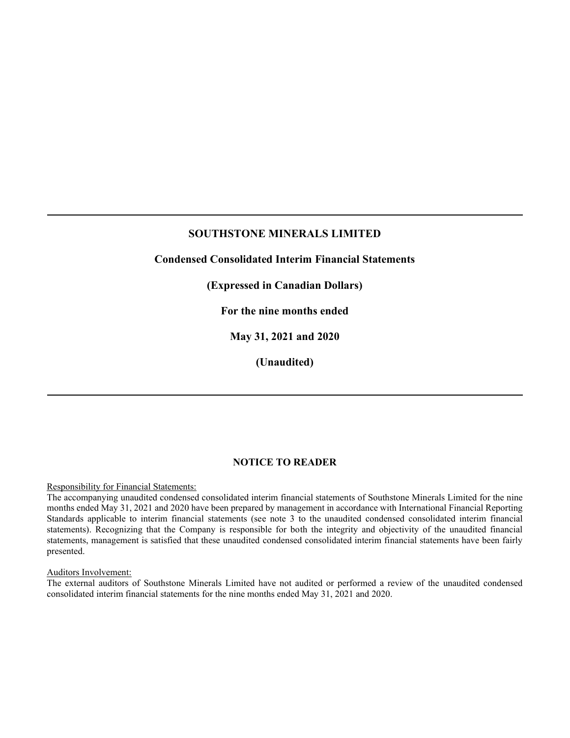**Condensed Consolidated Interim Financial Statements**

**(Expressed in Canadian Dollars)**

**For the nine months ended** 

**May 31, 2021 and 2020**

**(Unaudited)**

#### **NOTICE TO READER**

#### Responsibility for Financial Statements:

The accompanying unaudited condensed consolidated interim financial statements of Southstone Minerals Limited for the nine months ended May 31, 2021 and 2020 have been prepared by management in accordance with International Financial Reporting Standards applicable to interim financial statements (see note 3 to the unaudited condensed consolidated interim financial statements). Recognizing that the Company is responsible for both the integrity and objectivity of the unaudited financial statements, management is satisfied that these unaudited condensed consolidated interim financial statements have been fairly presented.

#### Auditors Involvement:

The external auditors of Southstone Minerals Limited have not audited or performed a review of the unaudited condensed consolidated interim financial statements for the nine months ended May 31, 2021 and 2020.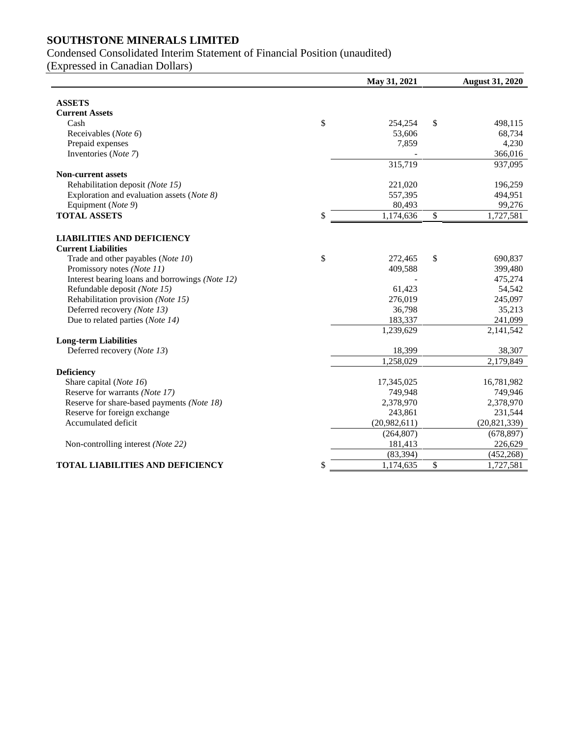# Condensed Consolidated Interim Statement of Financial Position (unaudited)

(Expressed in Canadian Dollars)

|                                                                 | May 31, 2021    | <b>August 31, 2020</b> |
|-----------------------------------------------------------------|-----------------|------------------------|
|                                                                 |                 |                        |
| <b>ASSETS</b>                                                   |                 |                        |
| <b>Current Assets</b>                                           |                 |                        |
| Cash                                                            | \$<br>254,254   | \$<br>498,115          |
| Receivables (Note 6)                                            | 53,606          | 68,734                 |
| Prepaid expenses                                                | 7,859           | 4,230                  |
| Inventories (Note 7)                                            |                 | 366,016                |
|                                                                 | 315,719         | 937,095                |
| <b>Non-current assets</b>                                       |                 |                        |
| Rehabilitation deposit (Note 15)                                | 221,020         | 196,259                |
| Exploration and evaluation assets (Note 8)                      | 557,395         | 494,951                |
| Equipment (Note 9)                                              | 80,493          | 99,276                 |
| <b>TOTAL ASSETS</b>                                             | \$<br>1,174,636 | \$<br>1,727,581        |
|                                                                 |                 |                        |
| <b>LIABILITIES AND DEFICIENCY</b><br><b>Current Liabilities</b> |                 |                        |
| Trade and other payables (Note 10)                              | \$<br>272,465   | \$<br>690,837          |
| Promissory notes (Note 11)                                      | 409,588         | 399,480                |
| Interest bearing loans and borrowings (Note 12)                 |                 | 475,274                |
| Refundable deposit (Note 15)                                    | 61,423          | 54,542                 |
| Rehabilitation provision (Note 15)                              | 276,019         | 245,097                |
| Deferred recovery (Note 13)                                     | 36,798          | 35,213                 |
| Due to related parties (Note 14)                                | 183,337         | 241,099                |
|                                                                 | 1,239,629       | 2,141,542              |
| <b>Long-term Liabilities</b>                                    |                 |                        |
| Deferred recovery (Note 13)                                     | 18,399          | 38,307                 |
|                                                                 | 1,258,029       | 2,179,849              |
| <b>Deficiency</b>                                               |                 |                        |
| Share capital (Note 16)                                         | 17,345,025      | 16,781,982             |
| Reserve for warrants (Note 17)                                  | 749,948         | 749,946                |
| Reserve for share-based payments (Note 18)                      | 2,378,970       | 2,378,970              |
| Reserve for foreign exchange                                    | 243,861         | 231,544                |
| Accumulated deficit                                             | (20,982,611)    | (20, 821, 339)         |
|                                                                 | (264, 807)      | (678, 897)             |
| Non-controlling interest (Note 22)                              | 181,413         | 226,629                |
|                                                                 | (83, 394)       | (452, 268)             |
| <b>TOTAL LIABILITIES AND DEFICIENCY</b>                         | \$<br>1,174,635 | \$<br>1,727,581        |
|                                                                 |                 |                        |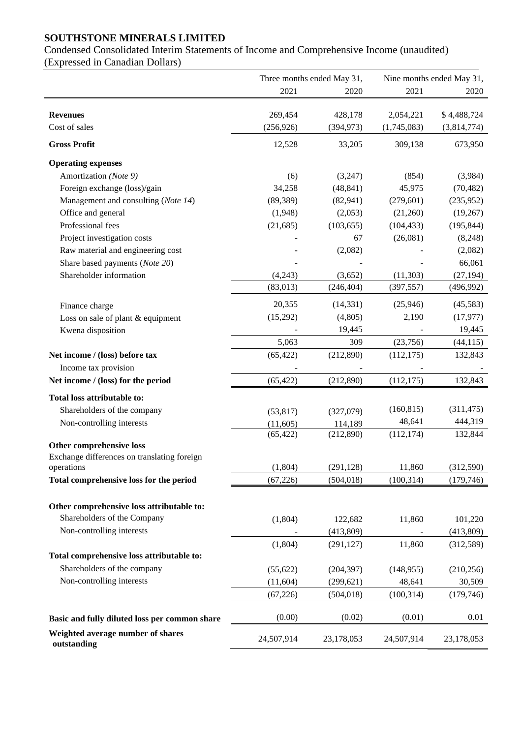Condensed Consolidated Interim Statements of Income and Comprehensive Income (unaudited) (Expressed in Canadian Dollars)

|                                                  |            | Three months ended May 31, |             | Nine months ended May 31, |
|--------------------------------------------------|------------|----------------------------|-------------|---------------------------|
|                                                  | 2021       | 2020                       | 2021        | 2020                      |
| <b>Revenues</b>                                  | 269,454    | 428,178                    | 2,054,221   | \$4,488,724               |
| Cost of sales                                    | (256, 926) | (394, 973)                 | (1,745,083) | (3,814,774)               |
| <b>Gross Profit</b>                              | 12,528     | 33,205                     | 309,138     | 673,950                   |
| <b>Operating expenses</b>                        |            |                            |             |                           |
| Amortization (Note 9)                            | (6)        | (3,247)                    | (854)       | (3,984)                   |
| Foreign exchange (loss)/gain                     | 34,258     | (48, 841)                  | 45,975      | (70, 482)                 |
| Management and consulting (Note 14)              | (89, 389)  | (82, 941)                  | (279, 601)  | (235,952)                 |
| Office and general                               | (1,948)    | (2,053)                    | (21,260)    | (19,267)                  |
| Professional fees                                | (21, 685)  | (103, 655)                 | (104, 433)  | (195, 844)                |
| Project investigation costs                      |            | 67                         | (26,081)    | (8,248)                   |
| Raw material and engineering cost                |            | (2,082)                    |             | (2,082)                   |
| Share based payments (Note 20)                   |            |                            |             | 66,061                    |
| Shareholder information                          | (4,243)    | (3,652)                    | (11, 303)   | (27, 194)                 |
|                                                  | (83, 013)  | (246, 404)                 | (397, 557)  | (496, 992)                |
| Finance charge                                   | 20,355     | (14, 331)                  | (25,946)    | (45,583)                  |
| Loss on sale of plant & equipment                | (15,292)   | (4,805)                    | 2,190       | (17, 977)                 |
| Kwena disposition                                |            | 19,445                     |             | 19,445                    |
|                                                  | 5,063      | 309                        | (23,756)    | (44, 115)                 |
| Net income / (loss) before tax                   | (65, 422)  | (212,890)                  | (112, 175)  | 132,843                   |
| Income tax provision                             |            |                            |             |                           |
| Net income / (loss) for the period               | (65, 422)  | (212,890)                  | (112, 175)  | 132,843                   |
| Total loss attributable to:                      |            |                            |             |                           |
| Shareholders of the company                      | (53, 817)  | (327,079)                  | (160, 815)  | (311, 475)                |
| Non-controlling interests                        | (11,605)   | 114,189                    | 48,641      | 444,319                   |
|                                                  | (65, 422)  | (212,890)                  | (112, 174)  | 132,844                   |
| Other comprehensive loss                         |            |                            |             |                           |
| Exchange differences on translating foreign      |            |                            |             |                           |
| operations                                       | (1, 804)   | (291, 128)                 | 11,860      | (312, 590)                |
| Total comprehensive loss for the period          | (67, 226)  | (504, 018)                 | (100, 314)  | (179, 746)                |
| Other comprehensive loss attributable to:        |            |                            |             |                           |
| Shareholders of the Company                      | (1,804)    | 122,682                    | 11,860      | 101,220                   |
| Non-controlling interests                        |            | (413,809)                  |             | (413,809)                 |
|                                                  | (1,804)    | (291, 127)                 | 11,860      | (312, 589)                |
| Total comprehensive loss attributable to:        |            |                            |             |                           |
| Shareholders of the company                      | (55, 622)  | (204, 397)                 | (148, 955)  | (210, 256)                |
| Non-controlling interests                        | (11, 604)  | (299, 621)                 | 48,641      | 30,509                    |
|                                                  |            |                            |             |                           |
|                                                  | (67, 226)  | (504, 018)                 | (100, 314)  | (179, 746)                |
| Basic and fully diluted loss per common share    | (0.00)     | (0.02)                     | (0.01)      | 0.01                      |
| Weighted average number of shares<br>outstanding | 24,507,914 | 23,178,053                 | 24,507,914  | 23,178,053                |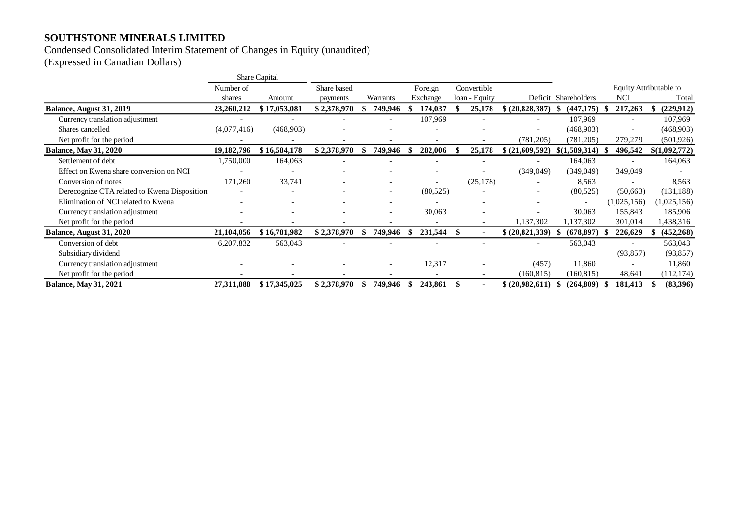# Condensed Consolidated Interim Statement of Changes in Equity (unaudited)

(Expressed in Canadian Dollars)

|                                              |                          | Share Capital |             |     |          |          |     |                          |                 |                          |    |                          |               |
|----------------------------------------------|--------------------------|---------------|-------------|-----|----------|----------|-----|--------------------------|-----------------|--------------------------|----|--------------------------|---------------|
|                                              | Number of                |               | Share based |     |          | Foreign  |     | Convertible              |                 |                          |    | Equity Attributable to   |               |
|                                              | shares                   | Amount        | payments    |     | Warrants | Exchange |     | loan - Equity            |                 | Deficit Shareholders     |    | NCI                      | Total         |
| Balance, August 31, 2019                     | 23,260,212               | \$17,053,081  | \$2,378,970 |     | 749,946  | 174,037  |     | 25,178                   | \$ (20,828,387) | (447, 175)               |    | 217,263                  | (229, 912)    |
| Currency translation adjustment              |                          |               |             |     |          | 107,969  |     |                          |                 | 107,969                  |    | $\overline{\phantom{a}}$ | 107,969       |
| Shares cancelled                             | (4,077,416)              | (468,903)     |             |     |          |          |     |                          |                 | (468,903)                |    |                          | (468,903)     |
| Net profit for the period                    |                          |               |             |     |          |          |     | $\overline{\phantom{a}}$ | (781, 205)      | (781, 205)               |    | 279,279                  | (501, 926)    |
| <b>Balance, May 31, 2020</b>                 | 19,182,796               | \$16,584,178  | \$2,378,970 |     | 749,946  | 282,006  |     | 25,178                   | \$ (21,609,592) | \$(1,589,314)            |    | 496,542                  | \$(1,092,772) |
| Settlement of debt                           | 1,750,000                | 164,063       |             |     |          |          |     |                          |                 | 164,063                  |    |                          | 164,063       |
| Effect on Kwena share conversion on NCI      | $\overline{\phantom{0}}$ |               |             |     |          |          |     |                          | (349,049)       | (349,049)                |    | 349,049                  |               |
| Conversion of notes                          | 171,260                  | 33,741        |             |     |          |          |     | (25, 178)                |                 | 8,563                    |    |                          | 8,563         |
| Derecognize CTA related to Kwena Disposition |                          |               |             |     |          | (80,525) |     |                          |                 | (80,525)                 |    | (50,663)                 | (131, 188)    |
| Elimination of NCI related to Kwena          |                          |               |             |     |          |          |     |                          |                 | $\overline{\phantom{a}}$ |    | (1,025,156)              | (1,025,156)   |
| Currency translation adjustment              |                          |               |             |     |          | 30,063   |     |                          |                 | 30,063                   |    | 155,843                  | 185,906       |
| Net profit for the period                    |                          |               |             |     |          |          |     | $\overline{\phantom{a}}$ | 1,137,302       | 1,137,302                |    | 301,014                  | 1,438,316     |
| Balance, August 31, 2020                     | 21,104,056               | \$16,781,982  | \$2,378,970 | S   | 749,946  | 231,544  | -SS |                          | \$ (20,821,339) | (678, 897)               | -S | 226,629                  | (452, 268)    |
| Conversion of debt                           | 6,207,832                | 563,043       |             |     |          |          |     |                          |                 | 563,043                  |    |                          | 563,043       |
| Subsidiary dividend                          |                          |               |             |     |          |          |     |                          |                 |                          |    | (93, 857)                | (93, 857)     |
| Currency translation adjustment              |                          |               |             |     |          | 12,317   |     |                          | (457)           | 11,860                   |    |                          | 11,860        |
| Net profit for the period                    |                          |               |             |     |          |          |     | $\overline{\phantom{a}}$ | (160, 815)      | (160, 815)               |    | 48,641                   | (112, 174)    |
| <b>Balance, May 31, 2021</b>                 | 27,311,888               | \$17,345,025  | \$2,378,970 | -XS | 749,946  | 243,861  | \$. |                          | \$ (20,982,611) | (264,809)                | -S | 181,413                  | (83,396)      |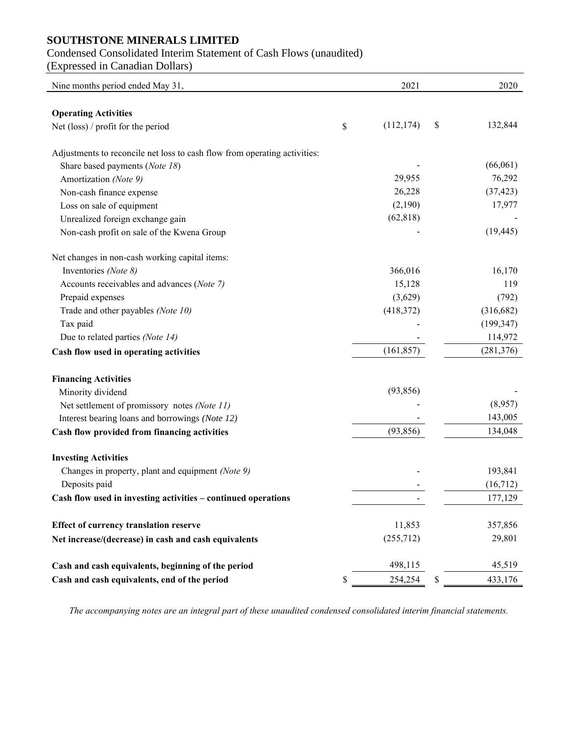# Condensed Consolidated Interim Statement of Cash Flows (unaudited)

(Expressed in Canadian Dollars)

| Nine months period ended May 31,                                          | 2021          | 2020          |
|---------------------------------------------------------------------------|---------------|---------------|
|                                                                           |               |               |
| <b>Operating Activities</b><br>Net (loss) / profit for the period         | (112, 174)    | \$<br>132,844 |
|                                                                           | \$            |               |
| Adjustments to reconcile net loss to cash flow from operating activities: |               |               |
| Share based payments (Note 18)                                            |               | (66,061)      |
| Amortization (Note 9)                                                     | 29,955        | 76,292        |
| Non-cash finance expense                                                  | 26,228        | (37, 423)     |
| Loss on sale of equipment                                                 | (2,190)       | 17,977        |
| Unrealized foreign exchange gain                                          | (62, 818)     |               |
| Non-cash profit on sale of the Kwena Group                                |               | (19, 445)     |
| Net changes in non-cash working capital items:                            |               |               |
| Inventories (Note 8)                                                      | 366,016       | 16,170        |
| Accounts receivables and advances (Note 7)                                | 15,128        | 119           |
| Prepaid expenses                                                          | (3,629)       | (792)         |
| Trade and other payables (Note 10)                                        | (418, 372)    | (316, 682)    |
| Tax paid                                                                  |               | (199, 347)    |
| Due to related parties (Note 14)                                          |               | 114,972       |
| Cash flow used in operating activities                                    | (161, 857)    | (281, 376)    |
| <b>Financing Activities</b>                                               |               |               |
| Minority dividend                                                         | (93, 856)     |               |
| Net settlement of promissory notes (Note 11)                              |               | (8,957)       |
| Interest bearing loans and borrowings (Note 12)                           |               | 143,005       |
| Cash flow provided from financing activities                              | (93, 856)     | 134,048       |
|                                                                           |               |               |
| <b>Investing Activities</b>                                               |               |               |
| Changes in property, plant and equipment (Note 9)                         |               | 193,841       |
| Deposits paid                                                             |               | (16,712)      |
| Cash flow used in investing activities – continued operations             |               | 177,129       |
| <b>Effect of currency translation reserve</b>                             | 11,853        | 357,856       |
| Net increase/(decrease) in cash and cash equivalents                      | (255,712)     | 29,801        |
| Cash and cash equivalents, beginning of the period                        | 498,115       | 45,519        |
| Cash and cash equivalents, end of the period                              | \$<br>254,254 | \$<br>433,176 |

*The accompanying notes are an integral part of these unaudited condensed consolidated interim financial statements.*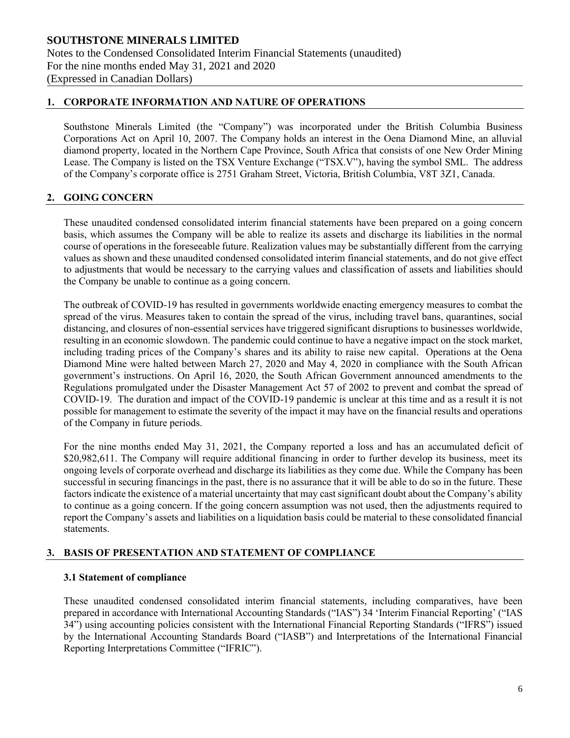# **1. CORPORATE INFORMATION AND NATURE OF OPERATIONS**

Southstone Minerals Limited (the "Company") was incorporated under the British Columbia Business Corporations Act on April 10, 2007. The Company holds an interest in the Oena Diamond Mine, an alluvial diamond property, located in the Northern Cape Province, South Africa that consists of one New Order Mining Lease. The Company is listed on the TSX Venture Exchange ("TSX.V"), having the symbol SML. The address of the Company's corporate office is 2751 Graham Street, Victoria, British Columbia, V8T 3Z1, Canada.

# **2. GOING CONCERN**

These unaudited condensed consolidated interim financial statements have been prepared on a going concern basis, which assumes the Company will be able to realize its assets and discharge its liabilities in the normal course of operations in the foreseeable future. Realization values may be substantially different from the carrying values as shown and these unaudited condensed consolidated interim financial statements, and do not give effect to adjustments that would be necessary to the carrying values and classification of assets and liabilities should the Company be unable to continue as a going concern.

The outbreak of COVID-19 has resulted in governments worldwide enacting emergency measures to combat the spread of the virus. Measures taken to contain the spread of the virus, including travel bans, quarantines, social distancing, and closures of non-essential services have triggered significant disruptions to businesses worldwide, resulting in an economic slowdown. The pandemic could continue to have a negative impact on the stock market, including trading prices of the Company's shares and its ability to raise new capital. Operations at the Oena Diamond Mine were halted between March 27, 2020 and May 4, 2020 in compliance with the South African government's instructions. On April 16, 2020, the South African Government announced amendments to the Regulations promulgated under the Disaster Management Act 57 of 2002 to prevent and combat the spread of COVID-19. The duration and impact of the COVID-19 pandemic is unclear at this time and as a result it is not possible for management to estimate the severity of the impact it may have on the financial results and operations of the Company in future periods.

For the nine months ended May 31, 2021, the Company reported a loss and has an accumulated deficit of \$20,982,611. The Company will require additional financing in order to further develop its business, meet its ongoing levels of corporate overhead and discharge its liabilities as they come due. While the Company has been successful in securing financings in the past, there is no assurance that it will be able to do so in the future. These factors indicate the existence of a material uncertainty that may cast significant doubt about the Company's ability to continue as a going concern. If the going concern assumption was not used, then the adjustments required to report the Company's assets and liabilities on a liquidation basis could be material to these consolidated financial statements.

# **3. BASIS OF PRESENTATION AND STATEMENT OF COMPLIANCE**

#### **3.1 Statement of compliance**

These unaudited condensed consolidated interim financial statements, including comparatives, have been prepared in accordance with International Accounting Standards ("IAS") 34 'Interim Financial Reporting' ("IAS 34") using accounting policies consistent with the International Financial Reporting Standards ("IFRS") issued by the International Accounting Standards Board ("IASB") and Interpretations of the International Financial Reporting Interpretations Committee ("IFRIC").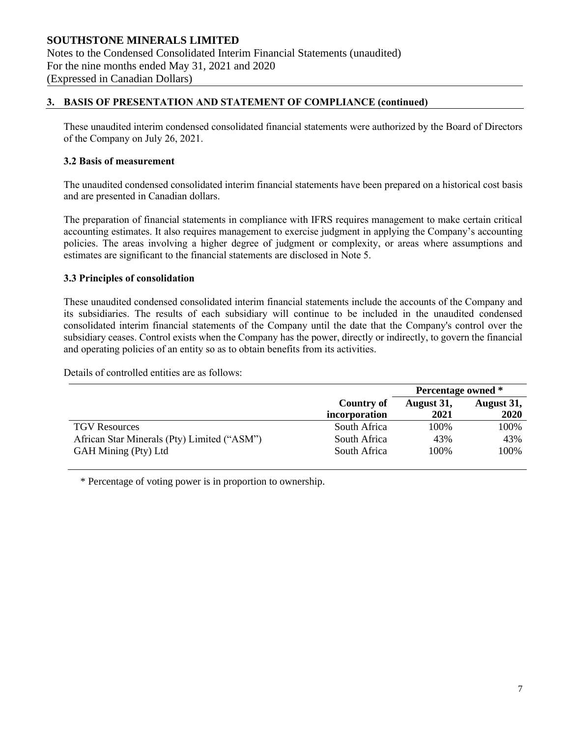# **3. BASIS OF PRESENTATION AND STATEMENT OF COMPLIANCE (continued)**

These unaudited interim condensed consolidated financial statements were authorized by the Board of Directors of the Company on July 26, 2021.

#### **3.2 Basis of measurement**

The unaudited condensed consolidated interim financial statements have been prepared on a historical cost basis and are presented in Canadian dollars.

The preparation of financial statements in compliance with IFRS requires management to make certain critical accounting estimates. It also requires management to exercise judgment in applying the Company's accounting policies. The areas involving a higher degree of judgment or complexity, or areas where assumptions and estimates are significant to the financial statements are disclosed in Note 5.

#### **3.3 Principles of consolidation**

These unaudited condensed consolidated interim financial statements include the accounts of the Company and its subsidiaries. The results of each subsidiary will continue to be included in the unaudited condensed consolidated interim financial statements of the Company until the date that the Company's control over the subsidiary ceases. Control exists when the Company has the power, directly or indirectly, to govern the financial and operating policies of an entity so as to obtain benefits from its activities.

Details of controlled entities are as follows:

|                                             |               | Percentage owned * |            |
|---------------------------------------------|---------------|--------------------|------------|
|                                             | Country of    | August 31,         | August 31, |
|                                             | incorporation | 2021               | 2020       |
| <b>TGV</b> Resources                        | South Africa  | 100%               | 100%       |
| African Star Minerals (Pty) Limited ("ASM") | South Africa  | 43%                | 43%        |
| GAH Mining (Pty) Ltd                        | South Africa  | 100%               | 100%       |

\* Percentage of voting power is in proportion to ownership.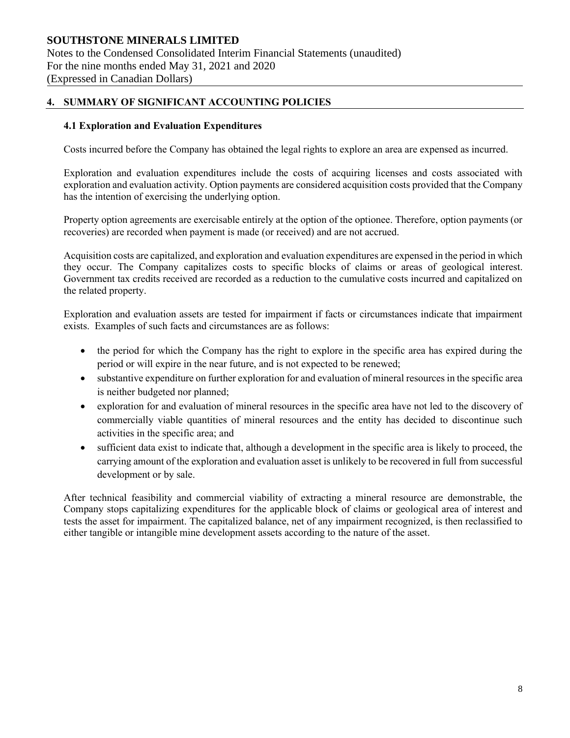# **4. SUMMARY OF SIGNIFICANT ACCOUNTING POLICIES**

#### **4.1 Exploration and Evaluation Expenditures**

Costs incurred before the Company has obtained the legal rights to explore an area are expensed as incurred.

Exploration and evaluation expenditures include the costs of acquiring licenses and costs associated with exploration and evaluation activity. Option payments are considered acquisition costs provided that the Company has the intention of exercising the underlying option.

Property option agreements are exercisable entirely at the option of the optionee. Therefore, option payments (or recoveries) are recorded when payment is made (or received) and are not accrued.

Acquisition costs are capitalized, and exploration and evaluation expenditures are expensed in the period in which they occur. The Company capitalizes costs to specific blocks of claims or areas of geological interest. Government tax credits received are recorded as a reduction to the cumulative costs incurred and capitalized on the related property.

Exploration and evaluation assets are tested for impairment if facts or circumstances indicate that impairment exists. Examples of such facts and circumstances are as follows:

- the period for which the Company has the right to explore in the specific area has expired during the period or will expire in the near future, and is not expected to be renewed;
- substantive expenditure on further exploration for and evaluation of mineral resources in the specific area is neither budgeted nor planned;
- exploration for and evaluation of mineral resources in the specific area have not led to the discovery of commercially viable quantities of mineral resources and the entity has decided to discontinue such activities in the specific area; and
- sufficient data exist to indicate that, although a development in the specific area is likely to proceed, the carrying amount of the exploration and evaluation asset is unlikely to be recovered in full from successful development or by sale.

After technical feasibility and commercial viability of extracting a mineral resource are demonstrable, the Company stops capitalizing expenditures for the applicable block of claims or geological area of interest and tests the asset for impairment. The capitalized balance, net of any impairment recognized, is then reclassified to either tangible or intangible mine development assets according to the nature of the asset.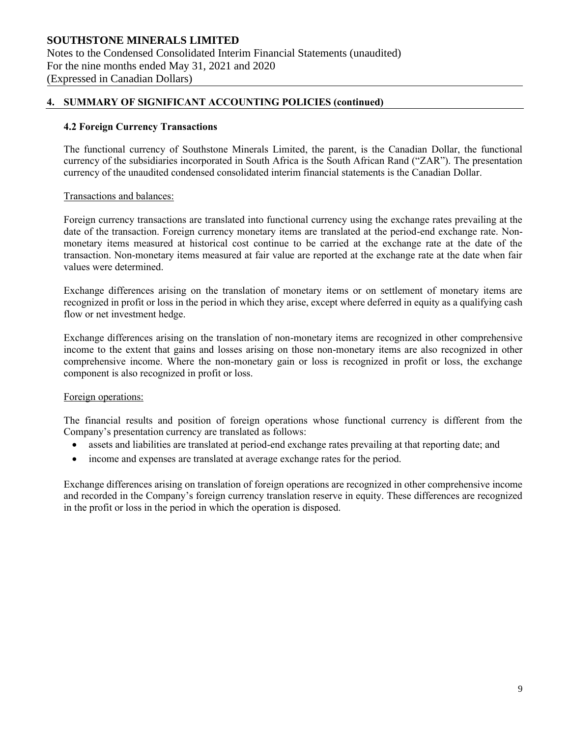#### **4.2 Foreign Currency Transactions**

The functional currency of Southstone Minerals Limited, the parent, is the Canadian Dollar, the functional currency of the subsidiaries incorporated in South Africa is the South African Rand ("ZAR"). The presentation currency of the unaudited condensed consolidated interim financial statements is the Canadian Dollar.

#### Transactions and balances:

Foreign currency transactions are translated into functional currency using the exchange rates prevailing at the date of the transaction. Foreign currency monetary items are translated at the period-end exchange rate. Nonmonetary items measured at historical cost continue to be carried at the exchange rate at the date of the transaction. Non-monetary items measured at fair value are reported at the exchange rate at the date when fair values were determined.

Exchange differences arising on the translation of monetary items or on settlement of monetary items are recognized in profit or loss in the period in which they arise, except where deferred in equity as a qualifying cash flow or net investment hedge.

Exchange differences arising on the translation of non-monetary items are recognized in other comprehensive income to the extent that gains and losses arising on those non-monetary items are also recognized in other comprehensive income. Where the non-monetary gain or loss is recognized in profit or loss, the exchange component is also recognized in profit or loss.

#### Foreign operations:

The financial results and position of foreign operations whose functional currency is different from the Company's presentation currency are translated as follows:

- assets and liabilities are translated at period-end exchange rates prevailing at that reporting date; and
- income and expenses are translated at average exchange rates for the period.

Exchange differences arising on translation of foreign operations are recognized in other comprehensive income and recorded in the Company's foreign currency translation reserve in equity. These differences are recognized in the profit or loss in the period in which the operation is disposed.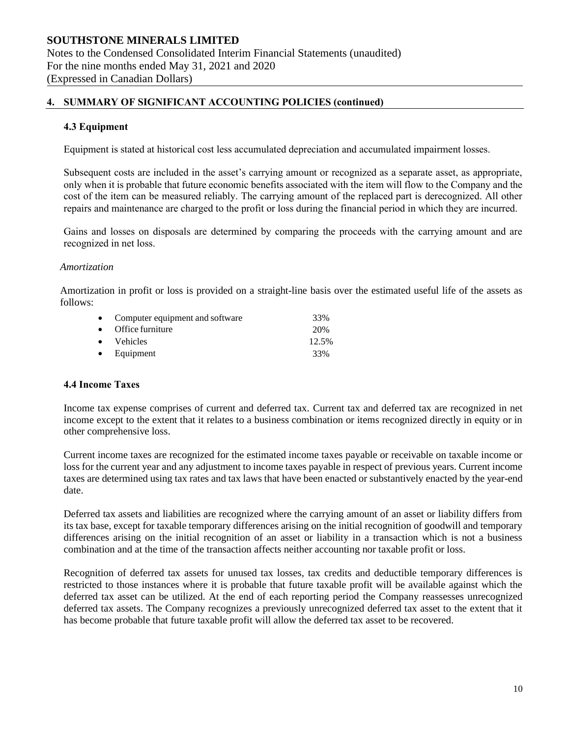#### **4.3 Equipment**

Equipment is stated at historical cost less accumulated depreciation and accumulated impairment losses.

Subsequent costs are included in the asset's carrying amount or recognized as a separate asset, as appropriate, only when it is probable that future economic benefits associated with the item will flow to the Company and the cost of the item can be measured reliably. The carrying amount of the replaced part is derecognized. All other repairs and maintenance are charged to the profit or loss during the financial period in which they are incurred.

Gains and losses on disposals are determined by comparing the proceeds with the carrying amount and are recognized in net loss.

#### *Amortization*

Amortization in profit or loss is provided on a straight-line basis over the estimated useful life of the assets as follows:

| • Computer equipment and software | 33%   |
|-----------------------------------|-------|
| $\bullet$ Office furniture        | 20%   |
| • Vehicles                        | 12.5% |
| $\bullet$ Equipment               | 33%   |

#### **4.4 Income Taxes**

Income tax expense comprises of current and deferred tax. Current tax and deferred tax are recognized in net income except to the extent that it relates to a business combination or items recognized directly in equity or in other comprehensive loss.

Current income taxes are recognized for the estimated income taxes payable or receivable on taxable income or loss for the current year and any adjustment to income taxes payable in respect of previous years. Current income taxes are determined using tax rates and tax laws that have been enacted or substantively enacted by the year-end date.

Deferred tax assets and liabilities are recognized where the carrying amount of an asset or liability differs from its tax base, except for taxable temporary differences arising on the initial recognition of goodwill and temporary differences arising on the initial recognition of an asset or liability in a transaction which is not a business combination and at the time of the transaction affects neither accounting nor taxable profit or loss.

Recognition of deferred tax assets for unused tax losses, tax credits and deductible temporary differences is restricted to those instances where it is probable that future taxable profit will be available against which the deferred tax asset can be utilized. At the end of each reporting period the Company reassesses unrecognized deferred tax assets. The Company recognizes a previously unrecognized deferred tax asset to the extent that it has become probable that future taxable profit will allow the deferred tax asset to be recovered.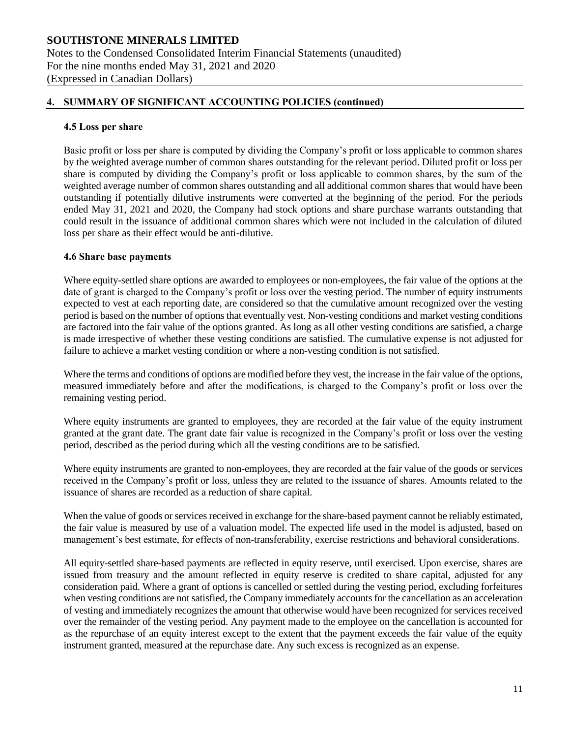#### **4.5 Loss per share**

Basic profit or loss per share is computed by dividing the Company's profit or loss applicable to common shares by the weighted average number of common shares outstanding for the relevant period. Diluted profit or loss per share is computed by dividing the Company's profit or loss applicable to common shares, by the sum of the weighted average number of common shares outstanding and all additional common shares that would have been outstanding if potentially dilutive instruments were converted at the beginning of the period. For the periods ended May 31, 2021 and 2020, the Company had stock options and share purchase warrants outstanding that could result in the issuance of additional common shares which were not included in the calculation of diluted loss per share as their effect would be anti-dilutive.

#### **4.6 Share base payments**

Where equity-settled share options are awarded to employees or non-employees, the fair value of the options at the date of grant is charged to the Company's profit or loss over the vesting period. The number of equity instruments expected to vest at each reporting date, are considered so that the cumulative amount recognized over the vesting period is based on the number of options that eventually vest. Non-vesting conditions and market vesting conditions are factored into the fair value of the options granted. As long as all other vesting conditions are satisfied, a charge is made irrespective of whether these vesting conditions are satisfied. The cumulative expense is not adjusted for failure to achieve a market vesting condition or where a non-vesting condition is not satisfied.

Where the terms and conditions of options are modified before they vest, the increase in the fair value of the options, measured immediately before and after the modifications, is charged to the Company's profit or loss over the remaining vesting period.

Where equity instruments are granted to employees, they are recorded at the fair value of the equity instrument granted at the grant date. The grant date fair value is recognized in the Company's profit or loss over the vesting period, described as the period during which all the vesting conditions are to be satisfied.

Where equity instruments are granted to non-employees, they are recorded at the fair value of the goods or services received in the Company's profit or loss, unless they are related to the issuance of shares. Amounts related to the issuance of shares are recorded as a reduction of share capital.

When the value of goods or services received in exchange for the share-based payment cannot be reliably estimated, the fair value is measured by use of a valuation model. The expected life used in the model is adjusted, based on management's best estimate, for effects of non-transferability, exercise restrictions and behavioral considerations.

All equity-settled share-based payments are reflected in equity reserve, until exercised. Upon exercise, shares are issued from treasury and the amount reflected in equity reserve is credited to share capital, adjusted for any consideration paid. Where a grant of options is cancelled or settled during the vesting period, excluding forfeitures when vesting conditions are not satisfied, the Company immediately accounts for the cancellation as an acceleration of vesting and immediately recognizes the amount that otherwise would have been recognized for services received over the remainder of the vesting period. Any payment made to the employee on the cancellation is accounted for as the repurchase of an equity interest except to the extent that the payment exceeds the fair value of the equity instrument granted, measured at the repurchase date. Any such excess is recognized as an expense.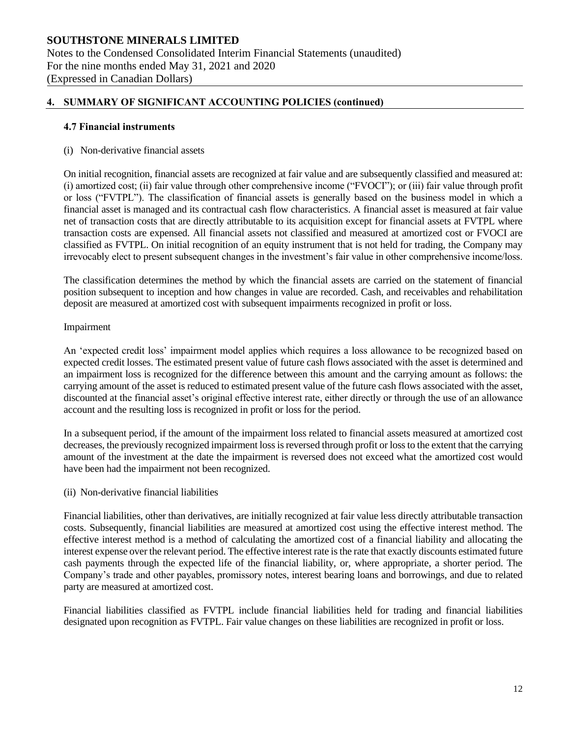#### **4.7 Financial instruments**

#### (i) Non-derivative financial assets

On initial recognition, financial assets are recognized at fair value and are subsequently classified and measured at: (i) amortized cost; (ii) fair value through other comprehensive income ("FVOCI"); or (iii) fair value through profit or loss ("FVTPL"). The classification of financial assets is generally based on the business model in which a financial asset is managed and its contractual cash flow characteristics. A financial asset is measured at fair value net of transaction costs that are directly attributable to its acquisition except for financial assets at FVTPL where transaction costs are expensed. All financial assets not classified and measured at amortized cost or FVOCI are classified as FVTPL. On initial recognition of an equity instrument that is not held for trading, the Company may irrevocably elect to present subsequent changes in the investment's fair value in other comprehensive income/loss.

The classification determines the method by which the financial assets are carried on the statement of financial position subsequent to inception and how changes in value are recorded. Cash, and receivables and rehabilitation deposit are measured at amortized cost with subsequent impairments recognized in profit or loss.

#### Impairment

An 'expected credit loss' impairment model applies which requires a loss allowance to be recognized based on expected credit losses. The estimated present value of future cash flows associated with the asset is determined and an impairment loss is recognized for the difference between this amount and the carrying amount as follows: the carrying amount of the asset is reduced to estimated present value of the future cash flows associated with the asset, discounted at the financial asset's original effective interest rate, either directly or through the use of an allowance account and the resulting loss is recognized in profit or loss for the period.

In a subsequent period, if the amount of the impairment loss related to financial assets measured at amortized cost decreases, the previously recognized impairment loss is reversed through profit or loss to the extent that the carrying amount of the investment at the date the impairment is reversed does not exceed what the amortized cost would have been had the impairment not been recognized.

#### (ii) Non-derivative financial liabilities

Financial liabilities, other than derivatives, are initially recognized at fair value less directly attributable transaction costs. Subsequently, financial liabilities are measured at amortized cost using the effective interest method. The effective interest method is a method of calculating the amortized cost of a financial liability and allocating the interest expense over the relevant period. The effective interest rate is the rate that exactly discounts estimated future cash payments through the expected life of the financial liability, or, where appropriate, a shorter period. The Company's trade and other payables, promissory notes, interest bearing loans and borrowings, and due to related party are measured at amortized cost.

Financial liabilities classified as FVTPL include financial liabilities held for trading and financial liabilities designated upon recognition as FVTPL. Fair value changes on these liabilities are recognized in profit or loss.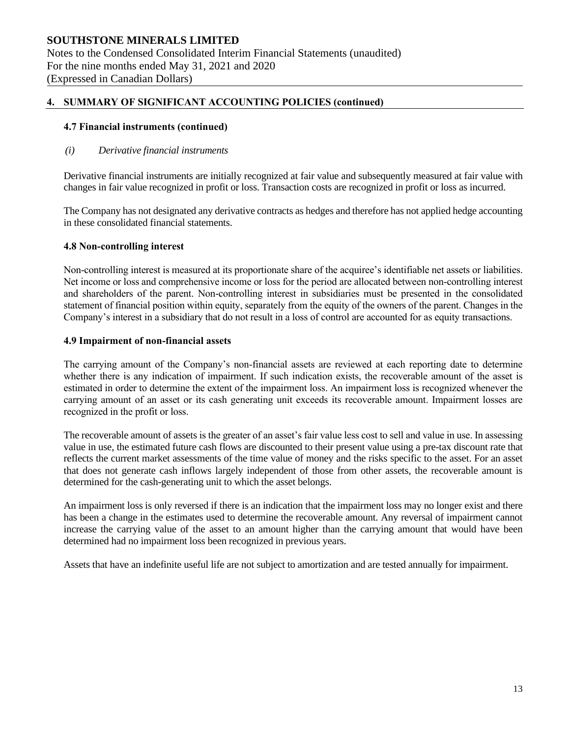#### **4.7 Financial instruments (continued)**

#### *(i) Derivative financial instruments*

Derivative financial instruments are initially recognized at fair value and subsequently measured at fair value with changes in fair value recognized in profit or loss. Transaction costs are recognized in profit or loss as incurred.

The Company has not designated any derivative contracts as hedges and therefore has not applied hedge accounting in these consolidated financial statements.

#### **4.8 Non-controlling interest**

Non-controlling interest is measured at its proportionate share of the acquiree's identifiable net assets or liabilities. Net income or loss and comprehensive income or loss for the period are allocated between non-controlling interest and shareholders of the parent. Non-controlling interest in subsidiaries must be presented in the consolidated statement of financial position within equity, separately from the equity of the owners of the parent. Changes in the Company's interest in a subsidiary that do not result in a loss of control are accounted for as equity transactions.

#### **4.9 Impairment of non-financial assets**

The carrying amount of the Company's non-financial assets are reviewed at each reporting date to determine whether there is any indication of impairment. If such indication exists, the recoverable amount of the asset is estimated in order to determine the extent of the impairment loss. An impairment loss is recognized whenever the carrying amount of an asset or its cash generating unit exceeds its recoverable amount. Impairment losses are recognized in the profit or loss.

The recoverable amount of assets is the greater of an asset's fair value less cost to sell and value in use. In assessing value in use, the estimated future cash flows are discounted to their present value using a pre-tax discount rate that reflects the current market assessments of the time value of money and the risks specific to the asset. For an asset that does not generate cash inflows largely independent of those from other assets, the recoverable amount is determined for the cash-generating unit to which the asset belongs.

An impairment loss is only reversed if there is an indication that the impairment loss may no longer exist and there has been a change in the estimates used to determine the recoverable amount. Any reversal of impairment cannot increase the carrying value of the asset to an amount higher than the carrying amount that would have been determined had no impairment loss been recognized in previous years.

Assets that have an indefinite useful life are not subject to amortization and are tested annually for impairment.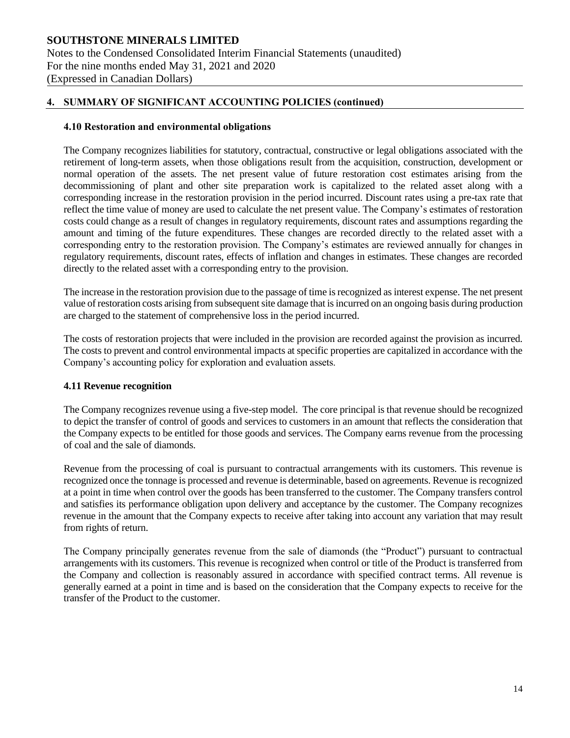# **SOUTHSTONE MINERALS LIMITED** Notes to the Condensed Consolidated Interim Financial Statements (unaudited) For the nine months ended May 31, 2021 and 2020 (Expressed in Canadian Dollars)

### **4. SUMMARY OF SIGNIFICANT ACCOUNTING POLICIES (continued)**

#### **4.10 Restoration and environmental obligations**

The Company recognizes liabilities for statutory, contractual, constructive or legal obligations associated with the retirement of long-term assets, when those obligations result from the acquisition, construction, development or normal operation of the assets. The net present value of future restoration cost estimates arising from the decommissioning of plant and other site preparation work is capitalized to the related asset along with a corresponding increase in the restoration provision in the period incurred. Discount rates using a pre-tax rate that reflect the time value of money are used to calculate the net present value. The Company's estimates of restoration costs could change as a result of changes in regulatory requirements, discount rates and assumptions regarding the amount and timing of the future expenditures. These changes are recorded directly to the related asset with a corresponding entry to the restoration provision. The Company's estimates are reviewed annually for changes in regulatory requirements, discount rates, effects of inflation and changes in estimates. These changes are recorded directly to the related asset with a corresponding entry to the provision.

The increase in the restoration provision due to the passage of time is recognized as interest expense. The net present value of restoration costs arising from subsequent site damage that is incurred on an ongoing basis during production are charged to the statement of comprehensive loss in the period incurred.

The costs of restoration projects that were included in the provision are recorded against the provision as incurred. The costs to prevent and control environmental impacts at specific properties are capitalized in accordance with the Company's accounting policy for exploration and evaluation assets.

#### **4.11 Revenue recognition**

The Company recognizes revenue using a five-step model. The core principal is that revenue should be recognized to depict the transfer of control of goods and services to customers in an amount that reflects the consideration that the Company expects to be entitled for those goods and services. The Company earns revenue from the processing of coal and the sale of diamonds.

Revenue from the processing of coal is pursuant to contractual arrangements with its customers. This revenue is recognized once the tonnage is processed and revenue is determinable, based on agreements. Revenue is recognized at a point in time when control over the goods has been transferred to the customer. The Company transfers control and satisfies its performance obligation upon delivery and acceptance by the customer. The Company recognizes revenue in the amount that the Company expects to receive after taking into account any variation that may result from rights of return.

The Company principally generates revenue from the sale of diamonds (the "Product") pursuant to contractual arrangements with its customers. This revenue is recognized when control or title of the Product is transferred from the Company and collection is reasonably assured in accordance with specified contract terms. All revenue is generally earned at a point in time and is based on the consideration that the Company expects to receive for the transfer of the Product to the customer.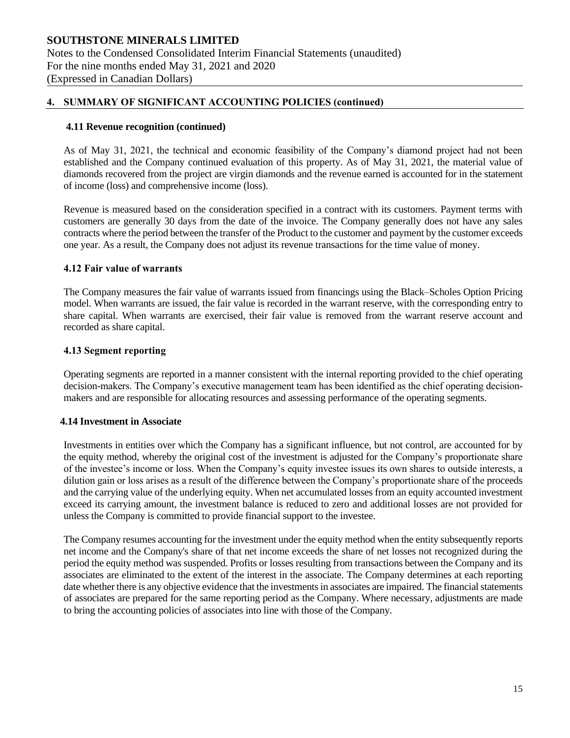#### **4.11 Revenue recognition (continued)**

As of May 31, 2021, the technical and economic feasibility of the Company's diamond project had not been established and the Company continued evaluation of this property. As of May 31, 2021, the material value of diamonds recovered from the project are virgin diamonds and the revenue earned is accounted for in the statement of income (loss) and comprehensive income (loss).

Revenue is measured based on the consideration specified in a contract with its customers. Payment terms with customers are generally 30 days from the date of the invoice. The Company generally does not have any sales contracts where the period between the transfer of the Product to the customer and payment by the customer exceeds one year. As a result, the Company does not adjust its revenue transactions for the time value of money.

#### **4.12 Fair value of warrants**

The Company measures the fair value of warrants issued from financings using the Black–Scholes Option Pricing model. When warrants are issued, the fair value is recorded in the warrant reserve, with the corresponding entry to share capital. When warrants are exercised, their fair value is removed from the warrant reserve account and recorded as share capital.

#### **4.13 Segment reporting**

Operating segments are reported in a manner consistent with the internal reporting provided to the chief operating decision-makers. The Company's executive management team has been identified as the chief operating decisionmakers and are responsible for allocating resources and assessing performance of the operating segments.

#### **4.14 Investment in Associate**

Investments in entities over which the Company has a significant influence, but not control, are accounted for by the equity method, whereby the original cost of the investment is adjusted for the Company's proportionate share of the investee's income or loss. When the Company's equity investee issues its own shares to outside interests, a dilution gain or loss arises as a result of the difference between the Company's proportionate share of the proceeds and the carrying value of the underlying equity. When net accumulated losses from an equity accounted investment exceed its carrying amount, the investment balance is reduced to zero and additional losses are not provided for unless the Company is committed to provide financial support to the investee.

The Company resumes accounting for the investment under the equity method when the entity subsequently reports net income and the Company's share of that net income exceeds the share of net losses not recognized during the period the equity method was suspended. Profits or losses resulting from transactions between the Company and its associates are eliminated to the extent of the interest in the associate. The Company determines at each reporting date whether there is any objective evidence that the investments in associates are impaired. The financial statements of associates are prepared for the same reporting period as the Company. Where necessary, adjustments are made to bring the accounting policies of associates into line with those of the Company.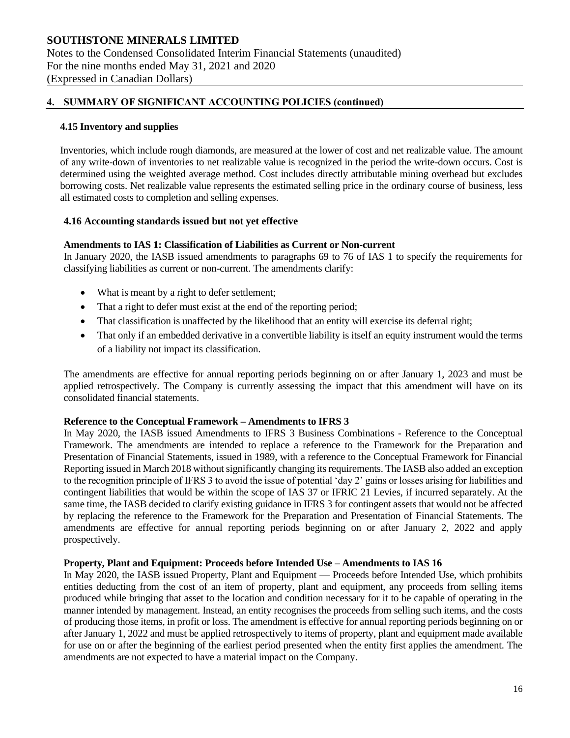#### **4.15 Inventory and supplies**

Inventories, which include rough diamonds, are measured at the lower of cost and net realizable value. The amount of any write-down of inventories to net realizable value is recognized in the period the write-down occurs. Cost is determined using the weighted average method. Cost includes directly attributable mining overhead but excludes borrowing costs. Net realizable value represents the estimated selling price in the ordinary course of business, less all estimated costs to completion and selling expenses.

#### **4.16 Accounting standards issued but not yet effective**

#### **Amendments to IAS 1: Classification of Liabilities as Current or Non-current**

In January 2020, the IASB issued amendments to paragraphs 69 to 76 of IAS 1 to specify the requirements for classifying liabilities as current or non-current. The amendments clarify:

- What is meant by a right to defer settlement;
- That a right to defer must exist at the end of the reporting period;
- That classification is unaffected by the likelihood that an entity will exercise its deferral right;
- That only if an embedded derivative in a convertible liability is itself an equity instrument would the terms of a liability not impact its classification.

The amendments are effective for annual reporting periods beginning on or after January 1, 2023 and must be applied retrospectively. The Company is currently assessing the impact that this amendment will have on its consolidated financial statements.

#### **Reference to the Conceptual Framework – Amendments to IFRS 3**

In May 2020, the IASB issued Amendments to IFRS 3 Business Combinations - Reference to the Conceptual Framework. The amendments are intended to replace a reference to the Framework for the Preparation and Presentation of Financial Statements, issued in 1989, with a reference to the Conceptual Framework for Financial Reporting issued in March 2018 without significantly changing its requirements. The IASB also added an exception to the recognition principle of IFRS 3 to avoid the issue of potential 'day 2' gains or losses arising for liabilities and contingent liabilities that would be within the scope of IAS 37 or IFRIC 21 Levies, if incurred separately. At the same time, the IASB decided to clarify existing guidance in IFRS 3 for contingent assets that would not be affected by replacing the reference to the Framework for the Preparation and Presentation of Financial Statements. The amendments are effective for annual reporting periods beginning on or after January 2, 2022 and apply prospectively.

#### **Property, Plant and Equipment: Proceeds before Intended Use – Amendments to IAS 16**

In May 2020, the IASB issued Property, Plant and Equipment — Proceeds before Intended Use, which prohibits entities deducting from the cost of an item of property, plant and equipment, any proceeds from selling items produced while bringing that asset to the location and condition necessary for it to be capable of operating in the manner intended by management. Instead, an entity recognises the proceeds from selling such items, and the costs of producing those items, in profit or loss. The amendment is effective for annual reporting periods beginning on or after January 1, 2022 and must be applied retrospectively to items of property, plant and equipment made available for use on or after the beginning of the earliest period presented when the entity first applies the amendment. The amendments are not expected to have a material impact on the Company.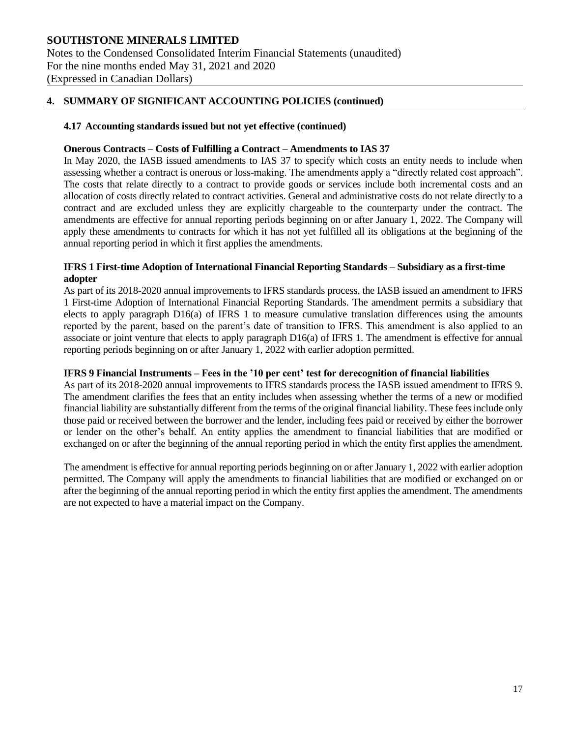Notes to the Condensed Consolidated Interim Financial Statements (unaudited) For the nine months ended May 31, 2021 and 2020 (Expressed in Canadian Dollars)

#### **4. SUMMARY OF SIGNIFICANT ACCOUNTING POLICIES (continued)**

#### **4.17 Accounting standards issued but not yet effective (continued)**

#### **Onerous Contracts – Costs of Fulfilling a Contract – Amendments to IAS 37**

In May 2020, the IASB issued amendments to IAS 37 to specify which costs an entity needs to include when assessing whether a contract is onerous or loss-making. The amendments apply a "directly related cost approach". The costs that relate directly to a contract to provide goods or services include both incremental costs and an allocation of costs directly related to contract activities. General and administrative costs do not relate directly to a contract and are excluded unless they are explicitly chargeable to the counterparty under the contract. The amendments are effective for annual reporting periods beginning on or after January 1, 2022. The Company will apply these amendments to contracts for which it has not yet fulfilled all its obligations at the beginning of the annual reporting period in which it first applies the amendments.

#### **IFRS 1 First-time Adoption of International Financial Reporting Standards – Subsidiary as a first-time adopter**

As part of its 2018-2020 annual improvements to IFRS standards process, the IASB issued an amendment to IFRS 1 First-time Adoption of International Financial Reporting Standards. The amendment permits a subsidiary that elects to apply paragraph D16(a) of IFRS 1 to measure cumulative translation differences using the amounts reported by the parent, based on the parent's date of transition to IFRS. This amendment is also applied to an associate or joint venture that elects to apply paragraph D16(a) of IFRS 1. The amendment is effective for annual reporting periods beginning on or after January 1, 2022 with earlier adoption permitted.

#### **IFRS 9 Financial Instruments – Fees in the '10 per cent' test for derecognition of financial liabilities**

As part of its 2018-2020 annual improvements to IFRS standards process the IASB issued amendment to IFRS 9. The amendment clarifies the fees that an entity includes when assessing whether the terms of a new or modified financial liability are substantially different from the terms of the original financial liability. These fees include only those paid or received between the borrower and the lender, including fees paid or received by either the borrower or lender on the other's behalf. An entity applies the amendment to financial liabilities that are modified or exchanged on or after the beginning of the annual reporting period in which the entity first applies the amendment.

The amendment is effective for annual reporting periods beginning on or after January 1, 2022 with earlier adoption permitted. The Company will apply the amendments to financial liabilities that are modified or exchanged on or after the beginning of the annual reporting period in which the entity first applies the amendment. The amendments are not expected to have a material impact on the Company.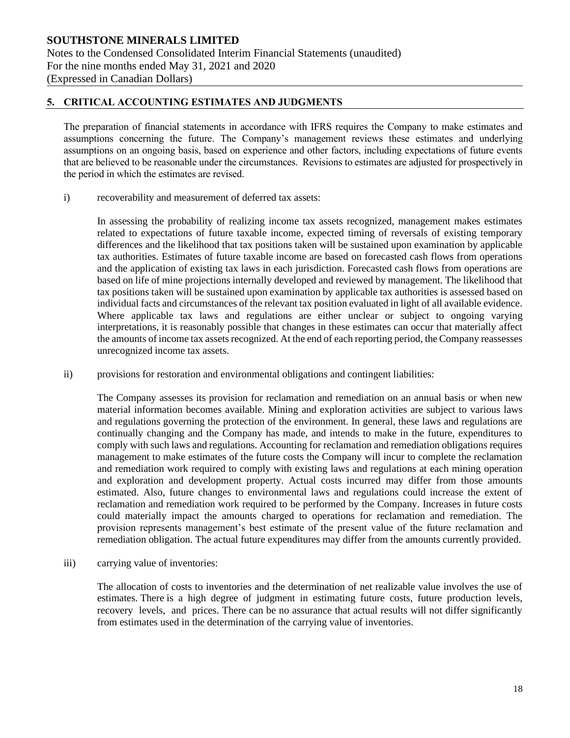# **5. CRITICAL ACCOUNTING ESTIMATES AND JUDGMENTS**

The preparation of financial statements in accordance with IFRS requires the Company to make estimates and assumptions concerning the future. The Company's management reviews these estimates and underlying assumptions on an ongoing basis, based on experience and other factors, including expectations of future events that are believed to be reasonable under the circumstances. Revisions to estimates are adjusted for prospectively in the period in which the estimates are revised.

i) recoverability and measurement of deferred tax assets:

In assessing the probability of realizing income tax assets recognized, management makes estimates related to expectations of future taxable income, expected timing of reversals of existing temporary differences and the likelihood that tax positions taken will be sustained upon examination by applicable tax authorities. Estimates of future taxable income are based on forecasted cash flows from operations and the application of existing tax laws in each jurisdiction. Forecasted cash flows from operations are based on life of mine projections internally developed and reviewed by management. The likelihood that tax positions taken will be sustained upon examination by applicable tax authorities is assessed based on individual facts and circumstances of the relevant tax position evaluated in light of all available evidence. Where applicable tax laws and regulations are either unclear or subject to ongoing varying interpretations, it is reasonably possible that changes in these estimates can occur that materially affect the amounts of income tax assets recognized. At the end of each reporting period, the Company reassesses unrecognized income tax assets.

ii) provisions for restoration and environmental obligations and contingent liabilities:

The Company assesses its provision for reclamation and remediation on an annual basis or when new material information becomes available. Mining and exploration activities are subject to various laws and regulations governing the protection of the environment. In general, these laws and regulations are continually changing and the Company has made, and intends to make in the future, expenditures to comply with such laws and regulations. Accounting for reclamation and remediation obligations requires management to make estimates of the future costs the Company will incur to complete the reclamation and remediation work required to comply with existing laws and regulations at each mining operation and exploration and development property. Actual costs incurred may differ from those amounts estimated. Also, future changes to environmental laws and regulations could increase the extent of reclamation and remediation work required to be performed by the Company. Increases in future costs could materially impact the amounts charged to operations for reclamation and remediation. The provision represents management's best estimate of the present value of the future reclamation and remediation obligation. The actual future expenditures may differ from the amounts currently provided.

iii) carrying value of inventories:

The allocation of costs to inventories and the determination of net realizable value involves the use of estimates. There is a high degree of judgment in estimating future costs, future production levels, recovery levels, and prices. There can be no assurance that actual results will not differ significantly from estimates used in the determination of the carrying value of inventories.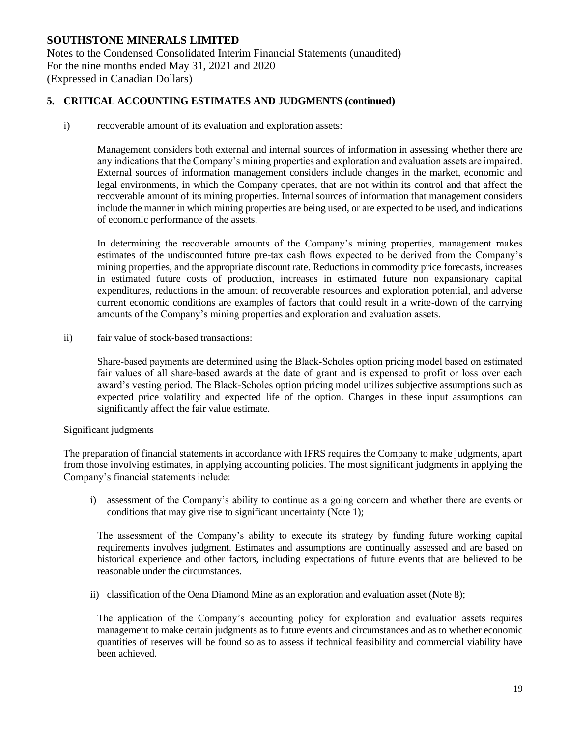### **5. CRITICAL ACCOUNTING ESTIMATES AND JUDGMENTS (continued)**

i) recoverable amount of its evaluation and exploration assets:

Management considers both external and internal sources of information in assessing whether there are any indications that the Company's mining properties and exploration and evaluation assets are impaired. External sources of information management considers include changes in the market, economic and legal environments, in which the Company operates, that are not within its control and that affect the recoverable amount of its mining properties. Internal sources of information that management considers include the manner in which mining properties are being used, or are expected to be used, and indications of economic performance of the assets.

In determining the recoverable amounts of the Company's mining properties, management makes estimates of the undiscounted future pre-tax cash flows expected to be derived from the Company's mining properties, and the appropriate discount rate. Reductions in commodity price forecasts, increases in estimated future costs of production, increases in estimated future non expansionary capital expenditures, reductions in the amount of recoverable resources and exploration potential, and adverse current economic conditions are examples of factors that could result in a write-down of the carrying amounts of the Company's mining properties and exploration and evaluation assets.

ii) fair value of stock-based transactions:

Share-based payments are determined using the Black‐Scholes option pricing model based on estimated fair values of all share-based awards at the date of grant and is expensed to profit or loss over each award's vesting period. The Black‐Scholes option pricing model utilizes subjective assumptions such as expected price volatility and expected life of the option. Changes in these input assumptions can significantly affect the fair value estimate.

#### Significant judgments

The preparation of financial statements in accordance with IFRS requires the Company to make judgments, apart from those involving estimates, in applying accounting policies. The most significant judgments in applying the Company's financial statements include:

i) assessment of the Company's ability to continue as a going concern and whether there are events or conditions that may give rise to significant uncertainty (Note 1);

The assessment of the Company's ability to execute its strategy by funding future working capital requirements involves judgment. Estimates and assumptions are continually assessed and are based on historical experience and other factors, including expectations of future events that are believed to be reasonable under the circumstances.

ii) classification of the Oena Diamond Mine as an exploration and evaluation asset (Note 8);

The application of the Company's accounting policy for exploration and evaluation assets requires management to make certain judgments as to future events and circumstances and as to whether economic quantities of reserves will be found so as to assess if technical feasibility and commercial viability have been achieved.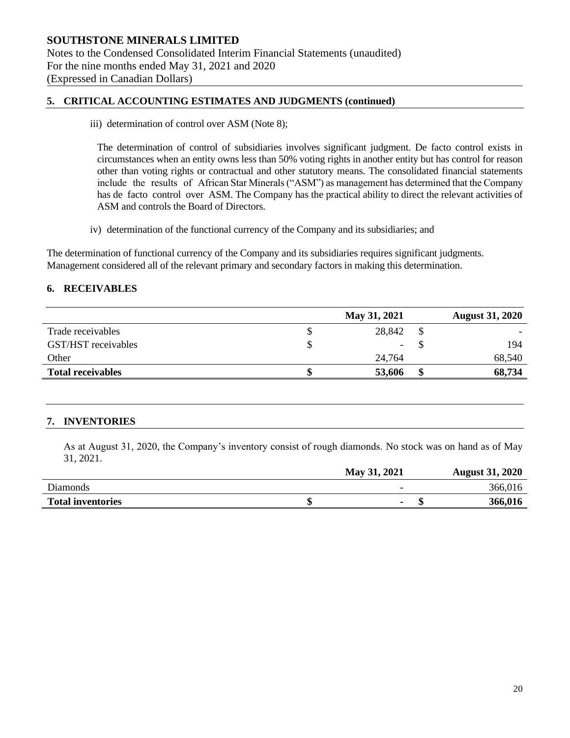#### **5. CRITICAL ACCOUNTING ESTIMATES AND JUDGMENTS (continued)**

iii) determination of control over ASM (Note 8);

The determination of control of subsidiaries involves significant judgment. De facto control exists in circumstances when an entity owns less than 50% voting rights in another entity but has control for reason other than voting rights or contractual and other statutory means. The consolidated financial statements include the results of African Star Minerals ("ASM") as management has determined that the Company has de facto control over ASM. The Company has the practical ability to direct the relevant activities of ASM and controls the Board of Directors.

iv) determination of the functional currency of the Company and its subsidiaries; and

The determination of functional currency of the Company and its subsidiaries requires significant judgments. Management considered all of the relevant primary and secondary factors in making this determination.

#### **6. RECEIVABLES**

|                          | May 31, 2021 |   | <b>August 31, 2020</b> |
|--------------------------|--------------|---|------------------------|
| Trade receivables        | 28,842       |   |                        |
| GST/HST receivables      | ۰            |   | 194                    |
| Other                    | 24,764       |   | 68,540                 |
| <b>Total receivables</b> | 53,606       | S | 68,734                 |

# **7. INVENTORIES**

As at August 31, 2020, the Company's inventory consist of rough diamonds. No stock was on hand as of May 31, 2021.

|                          | May 31, 2021 | <b>August 31, 2020</b> |
|--------------------------|--------------|------------------------|
| Diamonds                 | -            | 366,016                |
| <b>Total inventories</b> |              | 366,016                |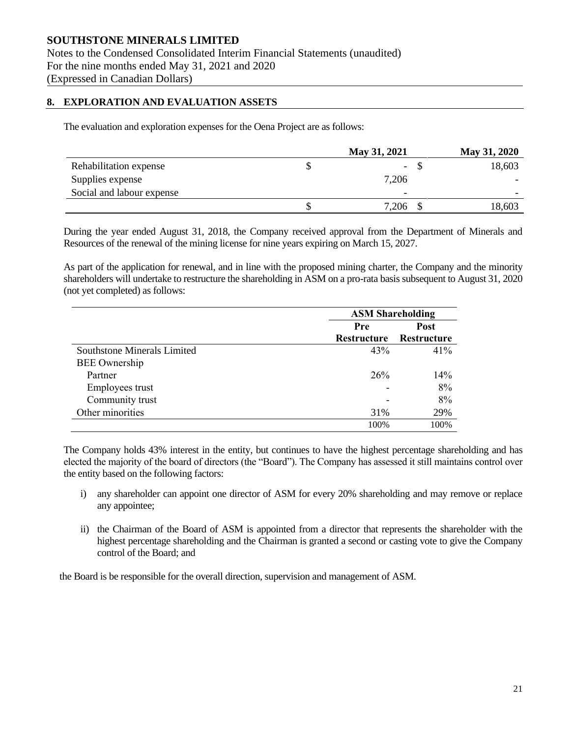Notes to the Condensed Consolidated Interim Financial Statements (unaudited) For the nine months ended May 31, 2021 and 2020 (Expressed in Canadian Dollars)

#### **8. EXPLORATION AND EVALUATION ASSETS**

The evaluation and exploration expenses for the Oena Project are as follows:

|                           | May 31, 2021             | May 31, 2020 |
|---------------------------|--------------------------|--------------|
| Rehabilitation expense    | $\overline{\phantom{0}}$ | 18,603       |
| Supplies expense          | 7,206                    |              |
| Social and labour expense | $\overline{\phantom{a}}$ | -            |
|                           | 7,206                    | 18,603       |

During the year ended August 31, 2018, the Company received approval from the Department of Minerals and Resources of the renewal of the mining license for nine years expiring on March 15, 2027.

As part of the application for renewal, and in line with the proposed mining charter, the Company and the minority shareholders will undertake to restructure the shareholding in ASM on a pro-rata basis subsequent to August 31, 2020 (not yet completed) as follows:

|                             | <b>ASM Shareholding</b> |             |  |  |  |
|-----------------------------|-------------------------|-------------|--|--|--|
|                             | Pre                     | <b>Post</b> |  |  |  |
|                             | <b>Restructure</b>      | Restructure |  |  |  |
| Southstone Minerals Limited | 43%                     | 41%         |  |  |  |
| <b>BEE</b> Ownership        |                         |             |  |  |  |
| Partner                     | 26 <sup>%</sup>         | 14%         |  |  |  |
| Employees trust             |                         | 8%          |  |  |  |
| Community trust             |                         | 8%          |  |  |  |
| Other minorities            | 31%                     | 29%         |  |  |  |
|                             | 100%                    | 100%        |  |  |  |

The Company holds 43% interest in the entity, but continues to have the highest percentage shareholding and has elected the majority of the board of directors (the "Board"). The Company has assessed it still maintains control over the entity based on the following factors:

- i) any shareholder can appoint one director of ASM for every 20% shareholding and may remove or replace any appointee;
- ii) the Chairman of the Board of ASM is appointed from a director that represents the shareholder with the highest percentage shareholding and the Chairman is granted a second or casting vote to give the Company control of the Board; and

the Board is be responsible for the overall direction, supervision and management of ASM.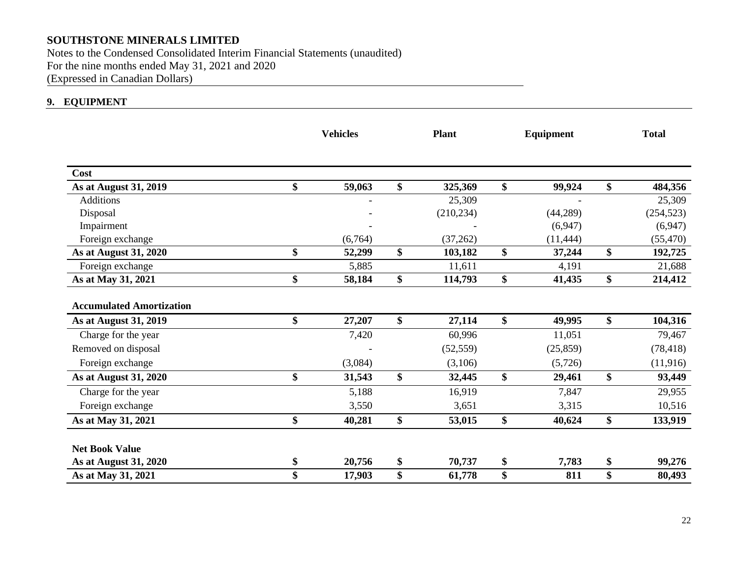Notes to the Condensed Consolidated Interim Financial Statements (unaudited) For the nine months ended May 31, 2021 and 2020 (Expressed in Canadian Dollars)

# **9. EQUIPMENT**

|                                 | <b>Vehicles</b> | <b>Plant</b>  | Equipment    |    | <b>Total</b> |
|---------------------------------|-----------------|---------------|--------------|----|--------------|
| <b>Cost</b>                     |                 |               |              |    |              |
| As at August 31, 2019           | \$<br>59,063    | \$<br>325,369 | \$<br>99,924 | \$ | 484,356      |
| <b>Additions</b>                |                 | 25,309        |              |    | 25,309       |
| Disposal                        |                 | (210, 234)    | (44, 289)    |    | (254, 523)   |
| Impairment                      |                 |               | (6,947)      |    | (6,947)      |
| Foreign exchange                | (6,764)         | (37,262)      | (11, 444)    |    | (55, 470)    |
| <b>As at August 31, 2020</b>    | \$<br>52,299    | \$<br>103,182 | \$<br>37,244 | \$ | 192,725      |
| Foreign exchange                | 5,885           | 11,611        | 4,191        |    | 21,688       |
| As at May 31, 2021              | \$<br>58,184    | \$<br>114,793 | \$<br>41,435 | \$ | 214,412      |
| <b>Accumulated Amortization</b> |                 |               |              |    |              |
| As at August 31, 2019           | \$<br>27,207    | \$<br>27,114  | \$<br>49,995 | \$ | 104,316      |
| Charge for the year             | 7,420           | 60,996        | 11,051       |    | 79,467       |
| Removed on disposal             |                 | (52, 559)     | (25, 859)    |    | (78, 418)    |
| Foreign exchange                | (3,084)         | (3,106)       | (5,726)      |    | (11,916)     |
| As at August 31, 2020           | \$<br>31,543    | \$<br>32,445  | \$<br>29,461 | \$ | 93,449       |
| Charge for the year             | 5,188           | 16,919        | 7,847        |    | 29,955       |
| Foreign exchange                | 3,550           | 3,651         | 3,315        |    | 10,516       |
| As at May 31, 2021              | \$<br>40,281    | \$<br>53,015  | \$<br>40,624 | \$ | 133,919      |
| <b>Net Book Value</b>           |                 |               |              |    |              |
| As at August 31, 2020           | \$<br>20,756    | \$<br>70,737  | \$<br>7,783  | \$ | 99,276       |
| As at May 31, 2021              | \$<br>17,903    | \$<br>61,778  | \$<br>811    | \$ | 80,493       |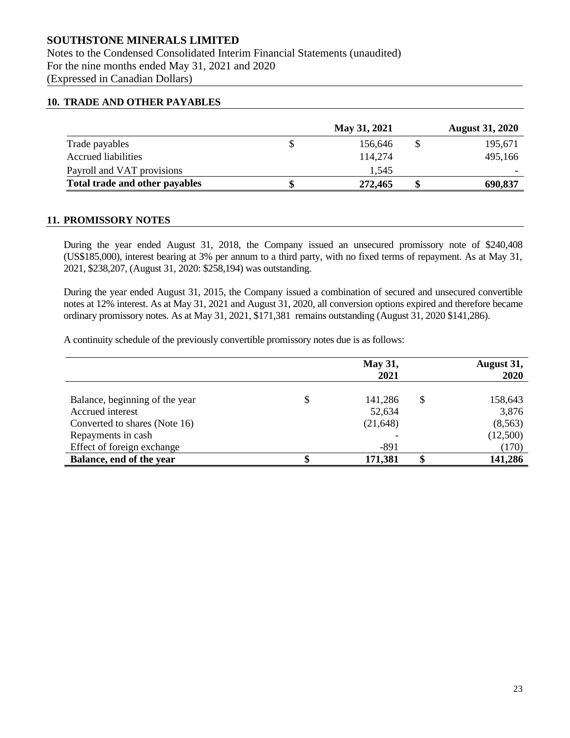Notes to the Condensed Consolidated Interim Financial Statements (unaudited) For the nine months ended May 31, 2021 and 2020 (Expressed in Canadian Dollars)

#### **10. TRADE AND OTHER PAYABLES**

|                                | May 31, 2021 | <b>August 31, 2020</b> |
|--------------------------------|--------------|------------------------|
| Trade payables                 | 156,646      | 195,671                |
| <b>Accrued liabilities</b>     | 114,274      | 495,166                |
| Payroll and VAT provisions     | 1.545        |                        |
| Total trade and other payables | 272,465      | 690,837                |

#### **11. PROMISSORY NOTES**

During the year ended August 31, 2018, the Company issued an unsecured promissory note of \$240,408 (US\$185,000), interest bearing at 3% per annum to a third party, with no fixed terms of repayment. As at May 31, 2021, \$238,207, (August 31, 2020: \$258,194) was outstanding.

During the year ended August 31, 2015, the Company issued a combination of secured and unsecured convertible notes at 12% interest. As at May 31, 2021 and August 31, 2020, all conversion options expired and therefore became ordinary promissory notes. As at May 31, 2021, \$171,381 remains outstanding (August 31, 2020 \$141,286).

A continuity schedule of the previously convertible promissory notes due is as follows:

|                                                    | <b>May 31,</b><br>2021 | August 31,<br>2020     |
|----------------------------------------------------|------------------------|------------------------|
| Balance, beginning of the year<br>Accrued interest | 141,286<br>52,634      | \$<br>158,643<br>3,876 |
| Converted to shares (Note 16)                      | (21, 648)              | (8, 563)               |
| Repayments in cash                                 |                        | (12,500)               |
| Effect of foreign exchange                         | $-891$                 | (170)                  |
| Balance, end of the year                           | 171,381                | 141,286                |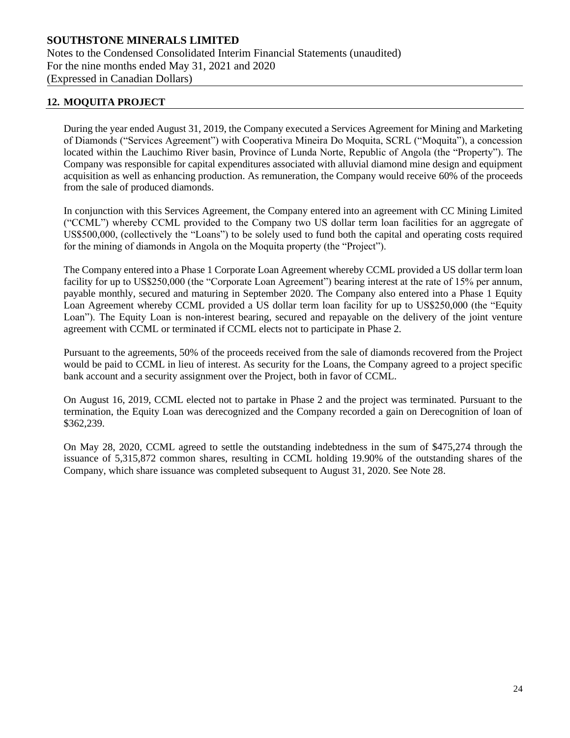# **12. MOQUITA PROJECT**

During the year ended August 31, 2019, the Company executed a Services Agreement for Mining and Marketing of Diamonds ("Services Agreement") with Cooperativa Mineira Do Moquita, SCRL ("Moquita"), a concession located within the Lauchimo River basin, Province of Lunda Norte, Republic of Angola (the "Property"). The Company was responsible for capital expenditures associated with alluvial diamond mine design and equipment acquisition as well as enhancing production. As remuneration, the Company would receive 60% of the proceeds from the sale of produced diamonds.

In conjunction with this Services Agreement, the Company entered into an agreement with CC Mining Limited ("CCML") whereby CCML provided to the Company two US dollar term loan facilities for an aggregate of US\$500,000, (collectively the "Loans") to be solely used to fund both the capital and operating costs required for the mining of diamonds in Angola on the Moquita property (the "Project").

The Company entered into a Phase 1 Corporate Loan Agreement whereby CCML provided a US dollar term loan facility for up to US\$250,000 (the "Corporate Loan Agreement") bearing interest at the rate of 15% per annum, payable monthly, secured and maturing in September 2020. The Company also entered into a Phase 1 Equity Loan Agreement whereby CCML provided a US dollar term loan facility for up to US\$250,000 (the "Equity Loan"). The Equity Loan is non-interest bearing, secured and repayable on the delivery of the joint venture agreement with CCML or terminated if CCML elects not to participate in Phase 2.

Pursuant to the agreements, 50% of the proceeds received from the sale of diamonds recovered from the Project would be paid to CCML in lieu of interest. As security for the Loans, the Company agreed to a project specific bank account and a security assignment over the Project, both in favor of CCML.

On August 16, 2019, CCML elected not to partake in Phase 2 and the project was terminated. Pursuant to the termination, the Equity Loan was derecognized and the Company recorded a gain on Derecognition of loan of \$362,239.

On May 28, 2020, CCML agreed to settle the outstanding indebtedness in the sum of \$475,274 through the issuance of 5,315,872 common shares, resulting in CCML holding 19.90% of the outstanding shares of the Company, which share issuance was completed subsequent to August 31, 2020. See Note 28.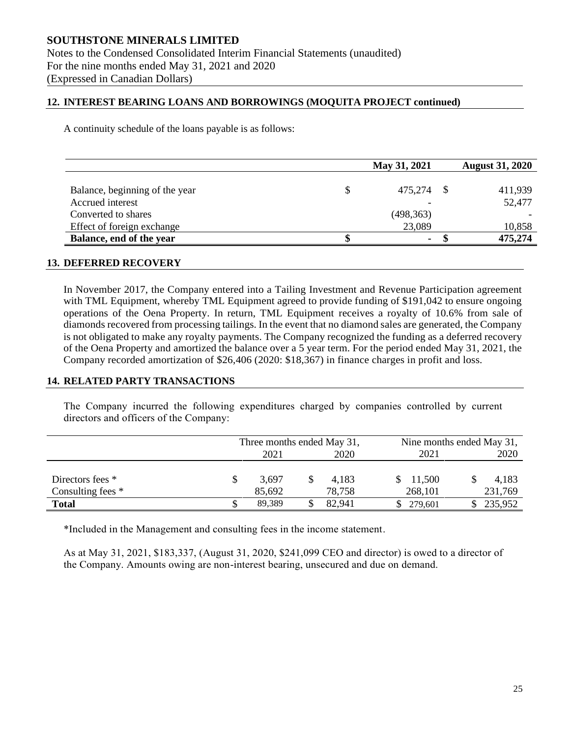#### **12. INTEREST BEARING LOANS AND BORROWINGS (MOQUITA PROJECT continued)**

A continuity schedule of the loans payable is as follows:

|                                | May 31, 2021 | <b>August 31, 2020</b> |
|--------------------------------|--------------|------------------------|
|                                |              |                        |
| Balance, beginning of the year | 475,274 \$   | 411,939                |
| Accrued interest               |              | 52,477                 |
| Converted to shares            | (498, 363)   |                        |
| Effect of foreign exchange     | 23,089       | 10,858                 |
| Balance, end of the year       | ۰            | 475,274                |

#### **13. DEFERRED RECOVERY**

In November 2017, the Company entered into a Tailing Investment and Revenue Participation agreement with TML Equipment, whereby TML Equipment agreed to provide funding of \$191,042 to ensure ongoing operations of the Oena Property. In return, TML Equipment receives a royalty of 10.6% from sale of diamonds recovered from processing tailings. In the event that no diamond sales are generated, the Company is not obligated to make any royalty payments. The Company recognized the funding as a deferred recovery of the Oena Property and amortized the balance over a 5 year term. For the period ended May 31, 2021, the Company recorded amortization of \$26,406 (2020: \$18,367) in finance charges in profit and loss.

#### **14. RELATED PARTY TRANSACTIONS**

The Company incurred the following expenditures charged by companies controlled by current directors and officers of the Company:

|                   |              | Three months ended May 31, |      |        | Nine months ended May 31, |  |         |
|-------------------|--------------|----------------------------|------|--------|---------------------------|--|---------|
|                   | 2020<br>2021 |                            | 2021 |        | 2020                      |  |         |
|                   |              |                            |      |        |                           |  |         |
| Directors fees *  |              | 3.697                      |      | 4.183  | \$11,500                  |  | 4,183   |
| Consulting fees * |              | 85,692                     |      | 78,758 | 268,101                   |  | 231,769 |
| <b>Total</b>      |              | 89.389                     |      | 82.941 | 279.601                   |  | 235,952 |

\*Included in the Management and consulting fees in the income statement.

As at May 31, 2021, \$183,337, (August 31, 2020, \$241,099 CEO and director) is owed to a director of the Company. Amounts owing are non-interest bearing, unsecured and due on demand.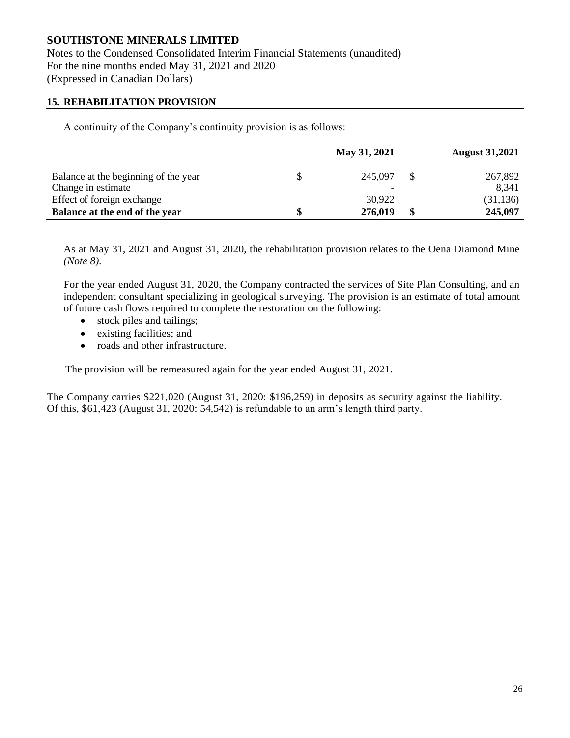Notes to the Condensed Consolidated Interim Financial Statements (unaudited) For the nine months ended May 31, 2021 and 2020 (Expressed in Canadian Dollars)

#### **15. REHABILITATION PROVISION**

A continuity of the Company's continuity provision is as follows:

|                                      | May 31, 2021 |         |  | <b>August 31,2021</b> |  |  |
|--------------------------------------|--------------|---------|--|-----------------------|--|--|
|                                      |              |         |  |                       |  |  |
| Balance at the beginning of the year |              | 245,097 |  | 267,892               |  |  |
| Change in estimate                   |              |         |  | 8,341                 |  |  |
| Effect of foreign exchange           |              | 30,922  |  | (31, 136)             |  |  |
| Balance at the end of the year       |              | 276,019 |  | 245,097               |  |  |

As at May 31, 2021 and August 31, 2020, the rehabilitation provision relates to the Oena Diamond Mine *(Note 8).*

For the year ended August 31, 2020, the Company contracted the services of Site Plan Consulting, and an independent consultant specializing in geological surveying. The provision is an estimate of total amount of future cash flows required to complete the restoration on the following:

- stock piles and tailings;
- existing facilities; and
- roads and other infrastructure.

The provision will be remeasured again for the year ended August 31, 2021.

The Company carries \$221,020 (August 31, 2020: \$196,259) in deposits as security against the liability. Of this, \$61,423 (August 31, 2020: 54,542) is refundable to an arm's length third party.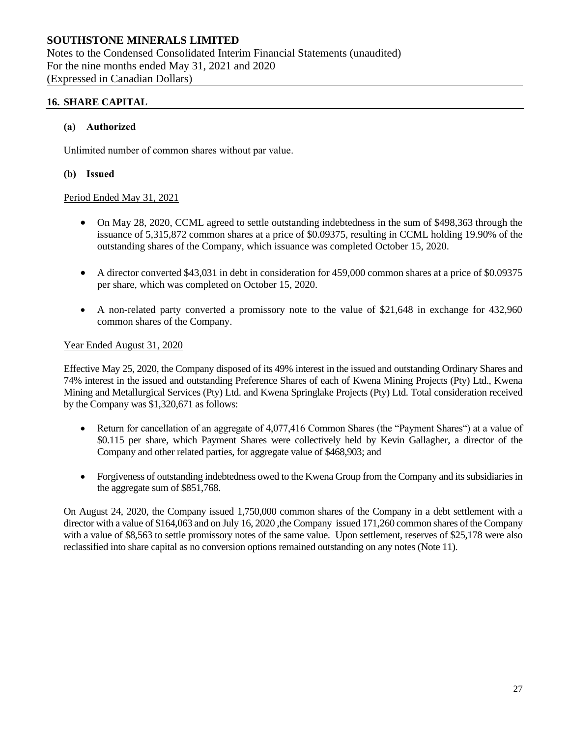Notes to the Condensed Consolidated Interim Financial Statements (unaudited) For the nine months ended May 31, 2021 and 2020 (Expressed in Canadian Dollars)

### **16. SHARE CAPITAL**

#### **(a) Authorized**

Unlimited number of common shares without par value.

#### **(b) Issued**

#### Period Ended May 31, 2021

- On May 28, 2020, CCML agreed to settle outstanding indebtedness in the sum of \$498,363 through the issuance of 5,315,872 common shares at a price of \$0.09375, resulting in CCML holding 19.90% of the outstanding shares of the Company, which issuance was completed October 15, 2020.
- A director converted \$43,031 in debt in consideration for 459,000 common shares at a price of \$0.09375 per share, which was completed on October 15, 2020.
- A non-related party converted a promissory note to the value of \$21,648 in exchange for 432,960 common shares of the Company.

#### Year Ended August 31, 2020

Effective May 25, 2020, the Company disposed of its 49% interest in the issued and outstanding Ordinary Shares and 74% interest in the issued and outstanding Preference Shares of each of Kwena Mining Projects (Pty) Ltd., Kwena Mining and Metallurgical Services (Pty) Ltd. and Kwena Springlake Projects (Pty) Ltd. Total consideration received by the Company was \$1,320,671 as follows:

- Return for cancellation of an aggregate of 4,077,416 Common Shares (the "Payment Shares") at a value of \$0.115 per share, which Payment Shares were collectively held by Kevin Gallagher, a director of the Company and other related parties, for aggregate value of \$468,903; and
- Forgiveness of outstanding indebtedness owed to the Kwena Group from the Company and its subsidiaries in the aggregate sum of \$851,768.

On August 24, 2020, the Company issued 1,750,000 common shares of the Company in a debt settlement with a director with a value of \$164,063 and on July 16, 2020, the Company issued 171,260 common shares of the Company with a value of \$8,563 to settle promissory notes of the same value. Upon settlement, reserves of \$25,178 were also reclassified into share capital as no conversion options remained outstanding on any notes (Note 11).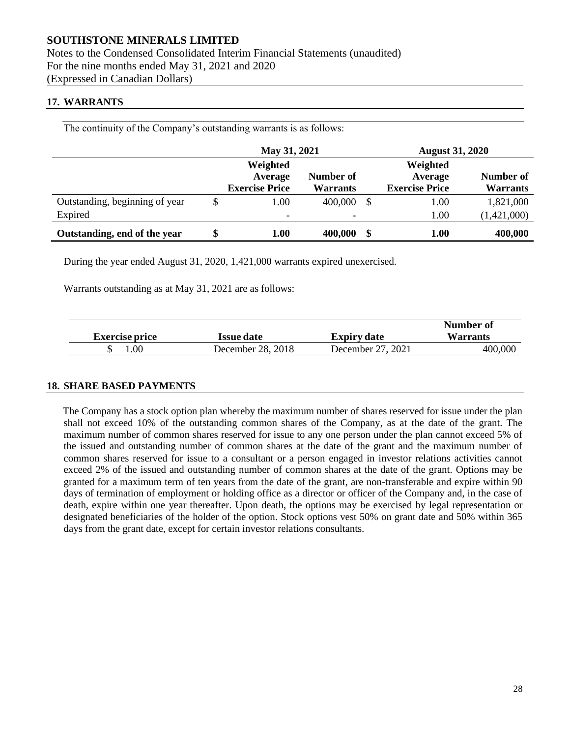Notes to the Condensed Consolidated Interim Financial Statements (unaudited) For the nine months ended May 31, 2021 and 2020 (Expressed in Canadian Dollars)

#### **17. WARRANTS**

The continuity of the Company's outstanding warrants is as follows:

|                                |    | May 31, 2021                                 |                              |    | <b>August 31, 2020</b>                       |                              |  |
|--------------------------------|----|----------------------------------------------|------------------------------|----|----------------------------------------------|------------------------------|--|
|                                |    | Weighted<br>Average<br><b>Exercise Price</b> | Number of<br><b>Warrants</b> |    | Weighted<br>Average<br><b>Exercise Price</b> | Number of<br><b>Warrants</b> |  |
| Outstanding, beginning of year | S  | 1.00                                         | 400,000                      | -S | 1.00                                         | 1,821,000                    |  |
| Expired                        |    | $\overline{\phantom{0}}$                     | ۰                            |    | 1.00                                         | (1,421,000)                  |  |
| Outstanding, end of the year   | \$ | 1.00                                         | 400,000                      |    | 1.00                                         | 400,000                      |  |

During the year ended August 31, 2020, 1,421,000 warrants expired unexercised.

Warrants outstanding as at May 31, 2021 are as follows:

|                       |                   |                    | Number of       |
|-----------------------|-------------------|--------------------|-----------------|
| <b>Exercise price</b> | <b>Issue date</b> | <b>Expiry date</b> | <b>Warrants</b> |
| .00.                  | December 28, 2018 | December 27, 2021  | 400,000         |

#### **18. SHARE BASED PAYMENTS**

The Company has a stock option plan whereby the maximum number of shares reserved for issue under the plan shall not exceed 10% of the outstanding common shares of the Company, as at the date of the grant. The maximum number of common shares reserved for issue to any one person under the plan cannot exceed 5% of the issued and outstanding number of common shares at the date of the grant and the maximum number of common shares reserved for issue to a consultant or a person engaged in investor relations activities cannot exceed 2% of the issued and outstanding number of common shares at the date of the grant. Options may be granted for a maximum term of ten years from the date of the grant, are non-transferable and expire within 90 days of termination of employment or holding office as a director or officer of the Company and, in the case of death, expire within one year thereafter. Upon death, the options may be exercised by legal representation or designated beneficiaries of the holder of the option. Stock options vest 50% on grant date and 50% within 365 days from the grant date, except for certain investor relations consultants.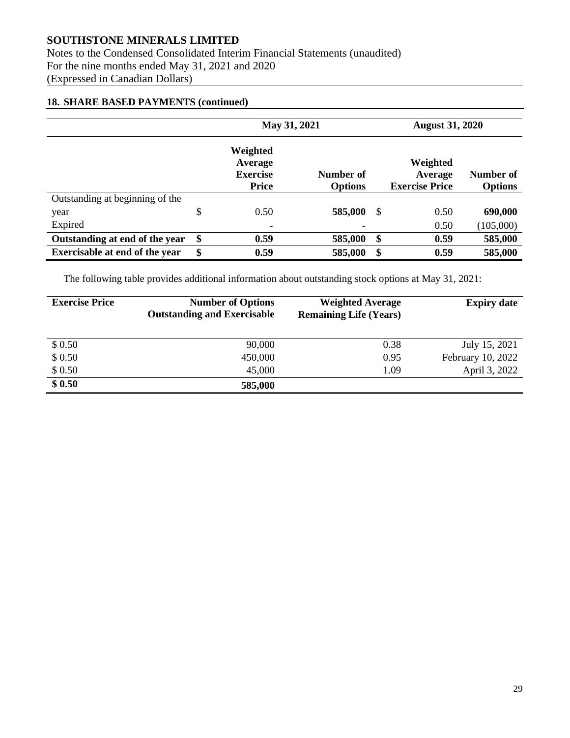Notes to the Condensed Consolidated Interim Financial Statements (unaudited) For the nine months ended May 31, 2021 and 2020 (Expressed in Canadian Dollars)

# **18. SHARE BASED PAYMENTS (continued)**

|                                 | May 31, 2021                                           |                             |    | <b>August 31, 2020</b>                       |                             |  |
|---------------------------------|--------------------------------------------------------|-----------------------------|----|----------------------------------------------|-----------------------------|--|
|                                 | Weighted<br>Average<br><b>Exercise</b><br><b>Price</b> | Number of<br><b>Options</b> |    | Weighted<br>Average<br><b>Exercise Price</b> | Number of<br><b>Options</b> |  |
| Outstanding at beginning of the |                                                        |                             |    |                                              |                             |  |
| year                            | \$<br>0.50                                             | 585,000                     | \$ | 0.50                                         | 690,000                     |  |
| Expired                         | -                                                      |                             |    | 0.50                                         | (105,000)                   |  |
| Outstanding at end of the year  | \$<br>0.59                                             | 585,000                     | \$ | 0.59                                         | 585,000                     |  |
| Exercisable at end of the year  | \$<br>0.59                                             | 585,000                     | \$ | 0.59                                         | 585,000                     |  |

The following table provides additional information about outstanding stock options at May 31, 2021:

| <b>Exercise Price</b> | <b>Number of Options</b><br><b>Outstanding and Exercisable</b> | <b>Weighted Average</b><br><b>Remaining Life (Years)</b> | <b>Expiry date</b> |
|-----------------------|----------------------------------------------------------------|----------------------------------------------------------|--------------------|
| \$0.50                | 90,000                                                         | 0.38                                                     | July 15, 2021      |
| \$0.50                | 450,000                                                        | 0.95                                                     | February 10, 2022  |
| \$0.50                | 45,000                                                         | 1.09                                                     | April 3, 2022      |
| \$0.50                | 585,000                                                        |                                                          |                    |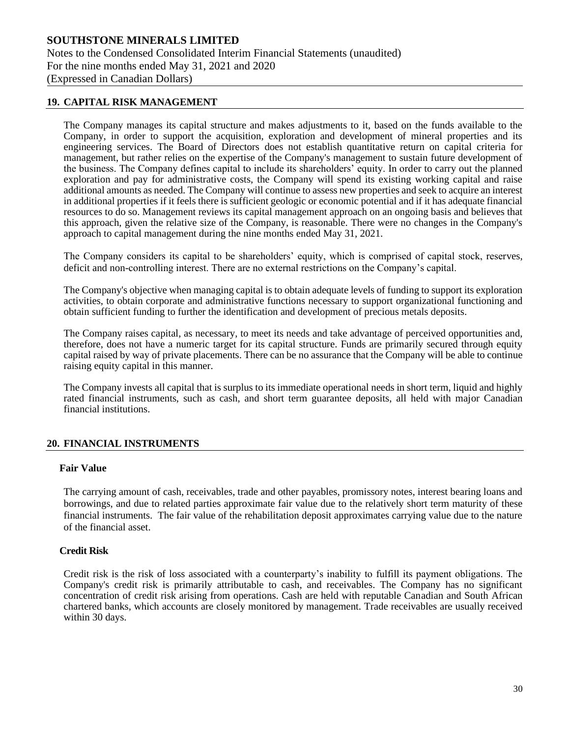# **SOUTHSTONE MINERALS LIMITED** Notes to the Condensed Consolidated Interim Financial Statements (unaudited) For the nine months ended May 31, 2021 and 2020 (Expressed in Canadian Dollars)

#### **19. CAPITAL RISK MANAGEMENT**

The Company manages its capital structure and makes adjustments to it, based on the funds available to the Company, in order to support the acquisition, exploration and development of mineral properties and its engineering services. The Board of Directors does not establish quantitative return on capital criteria for management, but rather relies on the expertise of the Company's management to sustain future development of the business. The Company defines capital to include its shareholders' equity. In order to carry out the planned exploration and pay for administrative costs, the Company will spend its existing working capital and raise additional amounts as needed. The Company will continue to assess new properties and seek to acquire an interest in additional properties if it feels there is sufficient geologic or economic potential and if it has adequate financial resources to do so. Management reviews its capital management approach on an ongoing basis and believes that this approach, given the relative size of the Company, is reasonable. There were no changes in the Company's approach to capital management during the nine months ended May 31, 2021.

The Company considers its capital to be shareholders' equity, which is comprised of capital stock, reserves, deficit and non-controlling interest. There are no external restrictions on the Company's capital.

The Company's objective when managing capital is to obtain adequate levels of funding to support its exploration activities, to obtain corporate and administrative functions necessary to support organizational functioning and obtain sufficient funding to further the identification and development of precious metals deposits.

The Company raises capital, as necessary, to meet its needs and take advantage of perceived opportunities and, therefore, does not have a numeric target for its capital structure. Funds are primarily secured through equity capital raised by way of private placements. There can be no assurance that the Company will be able to continue raising equity capital in this manner.

The Company invests all capital that is surplus to its immediate operational needs in short term, liquid and highly rated financial instruments, such as cash, and short term guarantee deposits, all held with major Canadian financial institutions.

#### **20. FINANCIAL INSTRUMENTS**

#### **Fair Value**

The carrying amount of cash, receivables, trade and other payables, promissory notes, interest bearing loans and borrowings, and due to related parties approximate fair value due to the relatively short term maturity of these financial instruments. The fair value of the rehabilitation deposit approximates carrying value due to the nature of the financial asset.

#### **Credit Risk**

Credit risk is the risk of loss associated with a counterparty's inability to fulfill its payment obligations. The Company's credit risk is primarily attributable to cash, and receivables. The Company has no significant concentration of credit risk arising from operations. Cash are held with reputable Canadian and South African chartered banks, which accounts are closely monitored by management. Trade receivables are usually received within 30 days.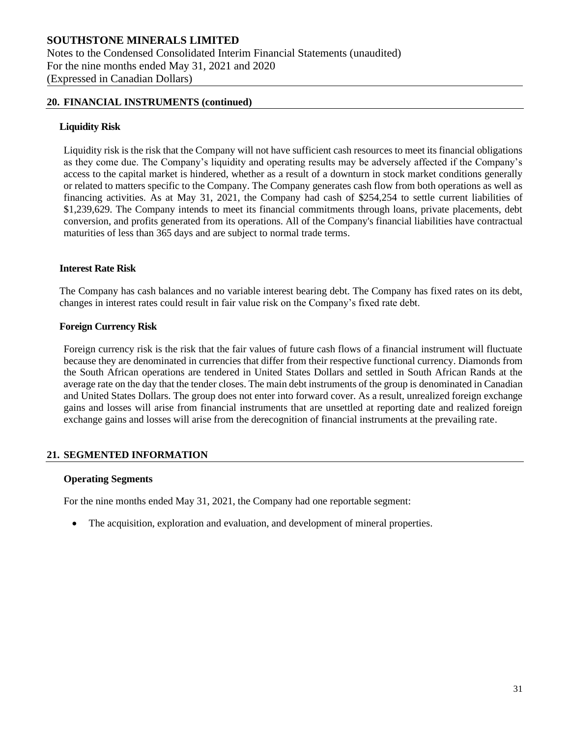#### **20. FINANCIAL INSTRUMENTS (continued)**

#### **Liquidity Risk**

Liquidity risk is the risk that the Company will not have sufficient cash resources to meet its financial obligations as they come due. The Company's liquidity and operating results may be adversely affected if the Company's access to the capital market is hindered, whether as a result of a downturn in stock market conditions generally or related to matters specific to the Company. The Company generates cash flow from both operations as well as financing activities. As at May 31, 2021, the Company had cash of \$254,254 to settle current liabilities of \$1,239,629. The Company intends to meet its financial commitments through loans, private placements, debt conversion, and profits generated from its operations. All of the Company's financial liabilities have contractual maturities of less than 365 days and are subject to normal trade terms.

#### **Interest Rate Risk**

The Company has cash balances and no variable interest bearing debt. The Company has fixed rates on its debt, changes in interest rates could result in fair value risk on the Company's fixed rate debt.

#### **Foreign Currency Risk**

Foreign currency risk is the risk that the fair values of future cash flows of a financial instrument will fluctuate because they are denominated in currencies that differ from their respective functional currency. Diamonds from the South African operations are tendered in United States Dollars and settled in South African Rands at the average rate on the day that the tender closes. The main debt instruments of the group is denominated in Canadian and United States Dollars. The group does not enter into forward cover. As a result, unrealized foreign exchange gains and losses will arise from financial instruments that are unsettled at reporting date and realized foreign exchange gains and losses will arise from the derecognition of financial instruments at the prevailing rate.

#### **21. SEGMENTED INFORMATION**

#### **Operating Segments**

For the nine months ended May 31, 2021, the Company had one reportable segment:

• The acquisition, exploration and evaluation, and development of mineral properties.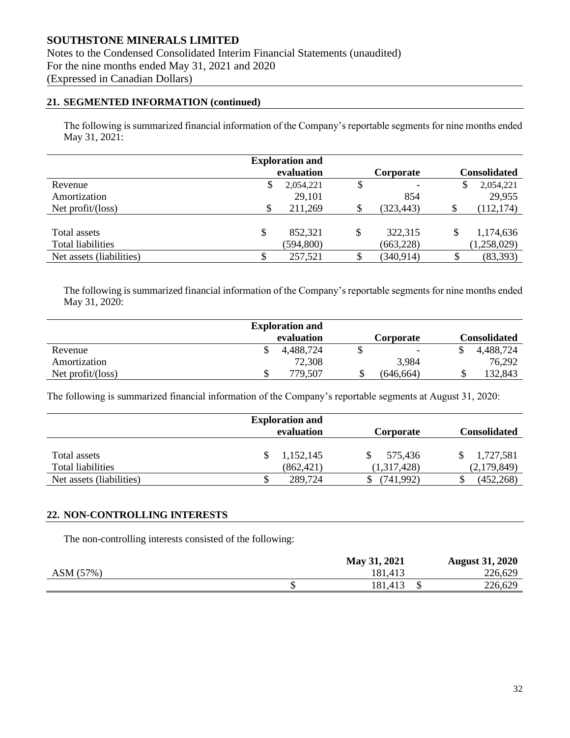Notes to the Condensed Consolidated Interim Financial Statements (unaudited) For the nine months ended May 31, 2021 and 2020 (Expressed in Canadian Dollars)

#### **21. SEGMENTED INFORMATION (continued)**

The following is summarized financial information of the Company's reportable segments for nine months ended May 31, 2021:

|                            |    | <b>Exploration and</b><br>evaluation | Corporate                      |    | <b>Consolidated</b> |
|----------------------------|----|--------------------------------------|--------------------------------|----|---------------------|
| Revenue                    | D  | 2,054,221                            | \$<br>$\overline{\phantom{a}}$ | S  | 2,054,221           |
| Amortization               |    | 29,101                               | 854                            |    | 29,955              |
| Net $profit/(\text{loss})$ |    | 211,269                              | (323, 443)                     | S  | (112, 174)          |
|                            |    |                                      |                                |    |                     |
| Total assets               | \$ | 852,321                              | 322,315                        | \$ | 1,174,636           |
| <b>Total liabilities</b>   |    | (594, 800)                           | (663, 228)                     |    | (1,258,029)         |
| Net assets (liabilities)   | \$ | 257,521                              | (340, 914)                     |    | (83, 393)           |

The following is summarized financial information of the Company's reportable segments for nine months ended May 31, 2020:

|                   |    | <b>Exploration and</b> |                          |              |
|-------------------|----|------------------------|--------------------------|--------------|
|                   |    | evaluation             | Corporate                | Consolidated |
| Revenue           | \$ | 4,488,724              | $\overline{\phantom{a}}$ | 4,488,724    |
| Amortization      |    | 72,308                 | 3,984                    | 76,292       |
| Net profit/(loss) | J) | 779,507                | (646.664)                | 132,843      |

The following is summarized financial information of the Company's reportable segments at August 31, 2020:

|                          |            | <b>Exploration and</b> |                  |                     |  |
|--------------------------|------------|------------------------|------------------|---------------------|--|
|                          | evaluation |                        | <b>Corporate</b> | <b>Consolidated</b> |  |
|                          |            |                        |                  |                     |  |
| Total assets             |            | 1,152,145              | 575.436          | 1,727,581           |  |
| Total liabilities        |            | (862, 421)             | (1,317,428)      | (2,179,849)         |  |
| Net assets (liabilities) | \$         | 289,724                | (741, 992)       | (452, 268)          |  |

#### **22. NON-CONTROLLING INTERESTS**

The non-controlling interests consisted of the following:

|           | May 31, 2021 | <b>August 31, 2020</b> |
|-----------|--------------|------------------------|
| ASM (57%) | 181,413      | 226,629                |
|           | 181,413      | 226,629                |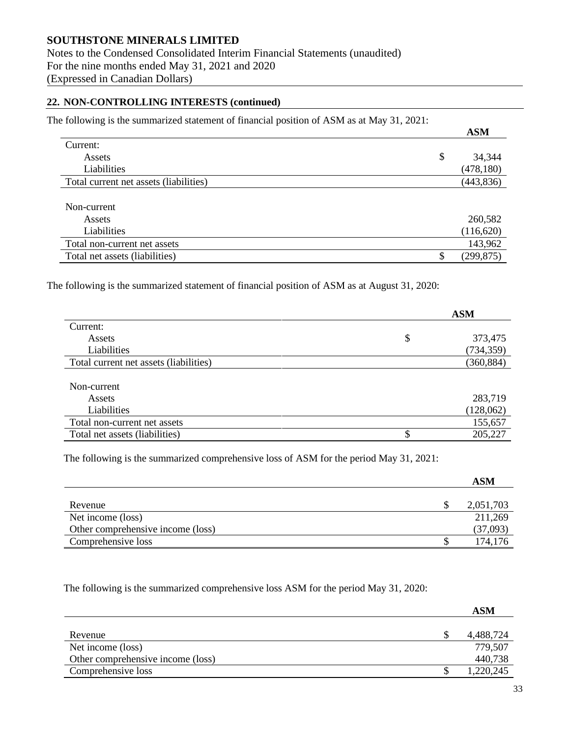Notes to the Condensed Consolidated Interim Financial Statements (unaudited) For the nine months ended May 31, 2021 and 2020 (Expressed in Canadian Dollars)

#### **22. NON-CONTROLLING INTERESTS (continued)**

| The following is the summarized statement of financial position of ASM as at May 31, 2021: |      |
|--------------------------------------------------------------------------------------------|------|
|                                                                                            | A SM |

|                                        | <b>AURI</b>  |
|----------------------------------------|--------------|
| Current:                               |              |
| Assets                                 | \$<br>34,344 |
| Liabilities                            | (478, 180)   |
| Total current net assets (liabilities) | (443, 836)   |
| Non-current                            |              |
| Assets                                 | 260,582      |
| Liabilities                            | (116, 620)   |
| Total non-current net assets           | 143,962      |
| Total net assets (liabilities)         | (299, 875)   |

The following is the summarized statement of financial position of ASM as at August 31, 2020:

|                                        | <b>ASM</b>    |  |
|----------------------------------------|---------------|--|
| Current:                               |               |  |
| Assets                                 | \$<br>373,475 |  |
| Liabilities                            | (734, 359)    |  |
| Total current net assets (liabilities) | (360, 884)    |  |
|                                        |               |  |
| Non-current                            |               |  |
| Assets                                 | 283,719       |  |
| Liabilities                            | (128,062)     |  |
| Total non-current net assets           | 155,657       |  |
| Total net assets (liabilities)         | 205,227       |  |
|                                        |               |  |

The following is the summarized comprehensive loss of ASM for the period May 31, 2021:

|                                   | ASM       |
|-----------------------------------|-----------|
|                                   |           |
| Revenue                           | 2,051,703 |
| Net income (loss)                 | 211,269   |
| Other comprehensive income (loss) | (37,093)  |
| Comprehensive loss                | 174,176   |

The following is the summarized comprehensive loss ASM for the period May 31, 2020:

|                                   | ASM       |
|-----------------------------------|-----------|
|                                   |           |
| Revenue                           | 4,488,724 |
| Net income (loss)                 | 779,507   |
| Other comprehensive income (loss) | 440,738   |
| Comprehensive loss                | 1,220,245 |